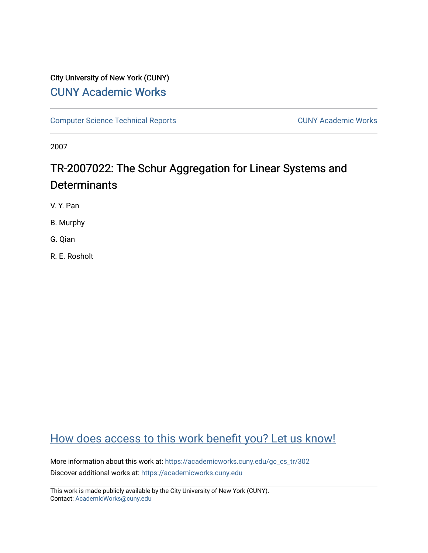# City University of New York (CUNY) [CUNY Academic Works](https://academicworks.cuny.edu/)

[Computer Science Technical Reports](https://academicworks.cuny.edu/gc_cs_tr) **CUNY Academic Works** CUNY Academic Works

2007

# TR-2007022: The Schur Aggregation for Linear Systems and **Determinants**

V. Y. Pan

B. Murphy

G. Qian

R. E. Rosholt

# [How does access to this work benefit you? Let us know!](http://ols.cuny.edu/academicworks/?ref=https://academicworks.cuny.edu/gc_cs_tr/302)

More information about this work at: [https://academicworks.cuny.edu/gc\\_cs\\_tr/302](https://academicworks.cuny.edu/gc_cs_tr/302)  Discover additional works at: [https://academicworks.cuny.edu](https://academicworks.cuny.edu/?)

This work is made publicly available by the City University of New York (CUNY). Contact: [AcademicWorks@cuny.edu](mailto:AcademicWorks@cuny.edu)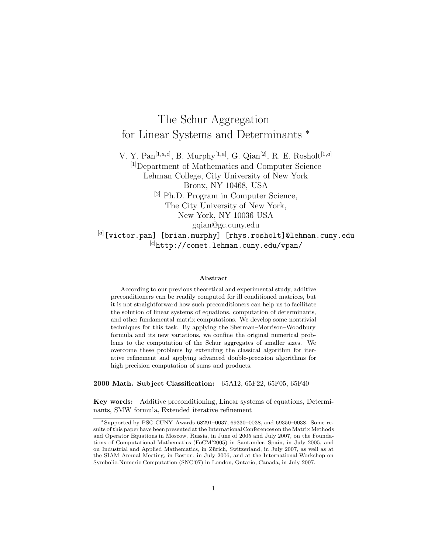# The Schur Aggregation for Linear Systems and Determinants  $*$

V. Y. Pan[1*,a,c*] , B. Murphy[1*,a*] , G. Qian[2], R. E. Rosholt[1*,a*] [1]Department of Mathematics and Computer Science Lehman College, City University of New York Bronx, NY 10468, USA [2] Ph.D. Program in Computer Science, The City University of New York, New York, NY 10036 USA gqian@gc.cuny.edu [*a*] [victor.pan] [brian.murphy] [rhys.rosholt]@lehman.cuny.edu [*c*] http://comet.lehman.cuny.edu/vpan/

#### **Abstract**

According to our previous theoretical and experimental study, additive preconditioners can be readily computed for ill conditioned matrices, but it is not straightforward how such preconditioners can help us to facilitate the solution of linear systems of equations, computation of determinants, and other fundamental matrix computations. We develop some nontrivial techniques for this task. By applying the Sherman–Morrison–Woodbury formula and its new variations, we confine the original numerical problems to the computation of the Schur aggregates of smaller sizes. We overcome these problems by extending the classical algorithm for iterative refinement and applying advanced double-precision algorithms for high precision computation of sums and products.

**2000 Math. Subject Classification:** 65A12, 65F22, 65F05, 65F40

**Key words:** Additive preconditioning, Linear systems of equations, Determinants, SMW formula, Extended iterative refinement

<sup>∗</sup>Supported by PSC CUNY Awards 68291–0037, 69330–0038, and 69350–0038. Some results of this paper have been presented at the International Conferences on the Matrix Methods and Operator Equations in Moscow, Russia, in June of 2005 and July 2007, on the Foundations of Computational Mathematics (FoCM'2005) in Santander, Spain, in July 2005, and on Industrial and Applied Mathematics, in Zürich, Switzerland, in July 2007, as well as at the SIAM Annual Meeting, in Boston, in July 2006, and at the International Workshop on Symbolic-Numeric Computation (SNC'07) in London, Ontario, Canada, in July 2007.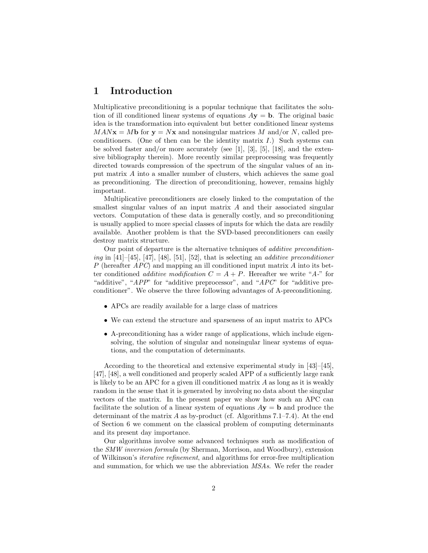### **1 Introduction**

Multiplicative preconditioning is a popular technique that facilitates the solution of ill conditioned linear systems of equations  $Ay = b$ . The original basic idea is the transformation into equivalent but better conditioned linear systems  $MAN**x** = Mb$  for  **and nonsingular matrices M and/or N, called pre**conditioners. (One of then can be the identity matrix  $I$ .) Such systems can be solved faster and/or more accurately (see  $[1]$ ,  $[3]$ ,  $[5]$ ,  $[18]$ , and the extensive bibliography therein). More recently similar preprocessing was frequently directed towards compression of the spectrum of the singular values of an input matrix A into a smaller number of clusters, which achieves the same goal as preconditioning. The direction of preconditioning, however, remains highly important.

Multiplicative preconditioners are closely linked to the computation of the smallest singular values of an input matrix A and their associated singular vectors. Computation of these data is generally costly, and so preconditioning is usually applied to more special classes of inputs for which the data are readily available. Another problem is that the SVD-based preconditioners can easily destroy matrix structure.

Our point of departure is the alternative tchniques of *additive preconditioning* in [41]–[45], [47], [48], [51], [52], that is selecting an *additive preconditioner* P (hereafter *APC*) and mapping an ill conditioned input matrix A into its better conditioned *additive modification*  $C = A + P$ . Hereafter we write "A-" for "additive", "*APP*" for "additive preprocessor", and "*APC*" for "additive preconditioner". We observe the three following advantages of A-preconditioning.

- APCs are readily available for a large class of matrices
- We can extend the structure and sparseness of an input matrix to APCs
- A-preconditioning has a wider range of applications, which include eigensolving, the solution of singular and nonsingular linear systems of equations, and the computation of determinants.

According to the theoretical and extensive experimental study in [43]–[45], [47], [48], a well conditioned and properly scaled APP of a sufficiently large rank is likely to be an APC for a given ill conditioned matrix  $A$  as long as it is weakly random in the sense that it is generated by involving no data about the singular vectors of the matrix. In the present paper we show how such an APC can facilitate the solution of a linear system of equations  $A$ **y** = **b** and produce the determinant of the matrix A as by-product (cf. Algorithms  $7.1-7.4$ ). At the end of Section 6 we comment on the classical problem of computing determinants and its present day importance.

Our algorithms involve some advanced techniques such as modification of the *SMW inversion formula* (by Sherman, Morrison, and Woodbury), extension of Wilkinson's *iterative refinement*, and algorithms for error-free multiplication and summation, for which we use the abbreviation *MSAs*. We refer the reader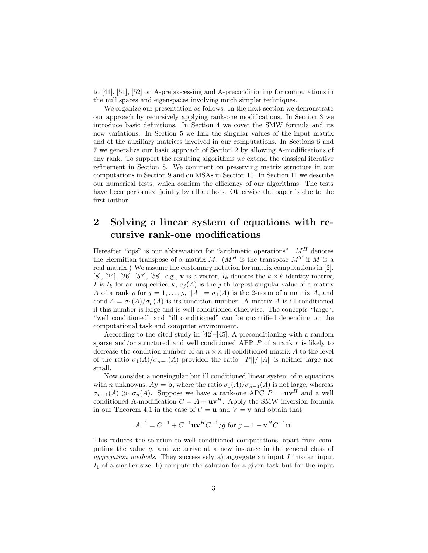to [41], [51], [52] on A-preprocessing and A-preconditioning for computations in the null spaces and eigenspaces involving much simpler techniques.

We organize our presentation as follows. In the next section we demonstrate our approach by recursively applying rank-one modifications. In Section 3 we introduce basic definitions. In Section 4 we cover the SMW formula and its new variations. In Section 5 we link the singular values of the input matrix and of the auxiliary matrices involved in our computations. In Sections 6 and 7 we generalize our basic approach of Section 2 by allowing A-modifications of any rank. To support the resulting algorithms we extend the classical iterative refinement in Section 8. We comment on preserving matrix structure in our computations in Section 9 and on MSAs in Section 10. In Section 11 we describe our numerical tests, which confirm the efficiency of our algorithms. The tests have been performed jointly by all authors. Otherwise the paper is due to the first author.

## **2 Solving a linear system of equations with recursive rank-one modifications**

Hereafter "ops" is our abbreviation for "arithmetic operations".  $M^H$  denotes the Hermitian transpose of a matrix M.  $(M<sup>H</sup>$  is the transpose  $M<sup>T</sup>$  if M is a real matrix.) We assume the customary notation for matrix computations in [2], [8], [24], [26], [57], [58], e.g., **v** is a vector,  $I_k$  denotes the  $k \times k$  identity matrix, I is  $I_k$  for an unspecified k,  $\sigma_i(A)$  is the j-th largest singular value of a matrix A of a rank  $\rho$  for  $j = 1, \ldots, \rho, ||A|| = \sigma_1(A)$  is the 2-norm of a matrix A, and cond  $A = \sigma_1(A)/\sigma_0(A)$  is its condition number. A matrix A is ill conditioned if this number is large and is well conditioned otherwise. The concepts "large", "well conditioned" and "ill conditioned" can be quantified depending on the computational task and computer environment.

According to the cited study in  $[42]$ – $[45]$ , A-preconditioning with a random sparse and/or structured and well conditioned APP  $P$  of a rank  $r$  is likely to decrease the condition number of an  $n \times n$  ill conditioned matrix A to the level of the ratio  $\sigma_1(A)/\sigma_{n-r}(A)$  provided the ratio  $||P||/||A||$  is neither large nor small.

Now consider a nonsingular but ill conditioned linear system of  $n$  equations with *n* unknowns,  $A$ **y** = **b**, where the ratio  $\sigma_1(A)/\sigma_{n-1}(A)$  is not large, whereas  $\sigma_{n-1}(A) \gg \sigma_n(A)$ . Suppose we have a rank-one APC  $P = uv^H$  and a well<br>conditioned A-modification  $C = A + uv^H$  Apply the SMW inversion formula conditioned A-modification  $C = A + uv^H$ . Apply the SMW inversion formula in our Theorem 4.1 in the case of  $U = u$  and  $V = v$  and obtain that

$$
A^{-1} = C^{-1} + C^{-1} \mathbf{u} \mathbf{v}^H C^{-1} / g \text{ for } g = 1 - \mathbf{v}^H C^{-1} \mathbf{u}.
$$

This reduces the solution to well conditioned computations, apart from computing the value g, and we arrive at a new instance in the general class of *aggregation methods*. They successively a) aggregate an input I into an input  $I_1$  of a smaller size, b) compute the solution for a given task but for the input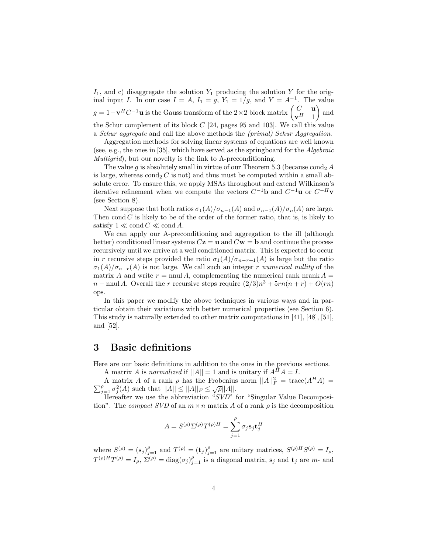$I_1$ , and c) disaggregate the solution  $Y_1$  producing the solution Y for the original input I. In our case  $I = A$ ,  $I_1 = g$ ,  $Y_1 = 1/g$ , and  $Y = A^{-1}$ . The value  $g = 1 - \mathbf{v}^H C^{-1} \mathbf{u}$  is the Gauss transform of the 2×2 block matrix  $\begin{pmatrix} C & \mathbf{u} \\ \mathbf{v}^H & 1 \end{pmatrix}$ - and the Schur complement of its block  $C$  [24, pages 95 and 103]. We call this value a *Schur aggregate* and call the above methods the *(primal) Schur Aggregation*.

Aggregation methods for solving linear systems of equations are well known (see, e.g., the ones in [35], which have served as the springboard for the *Algebraic Multigrid*), but our novelty is the link to A-preconditioning.

The value q is absolutely small in virtue of our Theorem 5.3 (because cond<sub>2</sub> A is large, whereas  $\text{cond}_2 C$  is not) and thus must be computed within a small absolute error. To ensure this, we apply MSAs throughout and extend Wilkinson's iterative refinement when we compute the vectors  $C^{-1}$ **b** and  $C^{-1}$ **u** or  $C^{-H}$ **v** (see Section 8).

Next suppose that both ratios  $\sigma_1(A)/\sigma_{n-1}(A)$  and  $\sigma_{n-1}(A)/\sigma_n(A)$  are large. Then cond  $C$  is likely to be of the order of the former ratio, that is, is likely to satisfy  $1 \ll \text{cond } C \ll \text{cond } A$ .

We can apply our A-preconditioning and aggregation to the ill (although better) conditioned linear systems  $C\mathbf{z} = \mathbf{u}$  and  $C\mathbf{w} = \mathbf{b}$  and continue the process recursively until we arrive at a well conditioned matrix. This is expected to occur in r recursive steps provided the ratio  $\sigma_1(A)/\sigma_{n-r+1}(A)$  is large but the ratio  $\sigma_1(A)/\sigma_{n-r}(A)$  is not large. We call such an integer r *numerical nullity* of the matrix A and write  $r = \text{nnul } A$ , complementing the numerical rank nrank  $A =$  $n - \text{mul } A$ . Overall the r recursive steps require  $(2/3)n^3 + 5rn(n + r) + O(rn)$ ops.

In this paper we modify the above techniques in various ways and in particular obtain their variations with better numerical properties (see Section 6). This study is naturally extended to other matrix computations in [41], [48], [51], and [52].

### **3 Basic definitions**

Here are our basic definitions in addition to the ones in the previous sections.

A matrix A is *normalized* if  $||A|| = 1$  and is unitary if  $A^H A = I$ .

A matrix A of a rank  $\rho$  has the Frobenius norm  $||A||_F^2 = \text{trace}(A^H A) =$ <br> $\sigma^2(A)$  such that  $||A|| < ||A||_F < |\sigma||_F$  $\sum_{j=1}^{\rho} \sigma_j^2(A)$  such that  $||A|| \le ||A||_F \le \sqrt{\rho}||A||$ .<br>Here for we use the abbreviation "SVO"

Hereafter we use the abbreviation "*SVD*" for "Singular Value Decomposition". The *compact SVD* of an  $m \times n$  matrix A of a rank  $\rho$  is the decomposition

$$
A = S^{(\rho)} \Sigma^{(\rho)} T^{(\rho)H} = \sum_{j=1}^{\rho} \sigma_j \mathbf{s}_j \mathbf{t}_j^H
$$

where  $S^{(\rho)} = (\mathbf{s}_j)_{j=1}^{\rho}$  and  $T^{(\rho)} = (\mathbf{t}_j)_{j=1}^{\rho}$  are unitary matrices,  $S^{(\rho)H}S^{(\rho)} = I_{\rho}$ ,<br> $T^{(\rho)H}T^{(\rho)} = I_{\rho}$ ,  $T^{(\rho)} = \text{diag}(I_{\rho})$  is a discussed matrice span has exampled to the set of the span has example  $T^{(\rho)H}T^{(\rho)} = I_{\rho}, \ \Sigma^{(\rho)} = \text{diag}(\sigma_j)_{j=1}^{\rho}$  is a diagonal matrix,  $\mathbf{s}_j$  and  $\mathbf{t}_j$  are m- and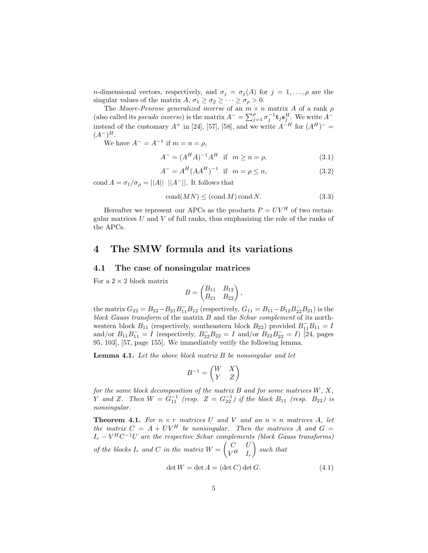*n*-dimensional vectors, respectively, and  $\sigma_j = \sigma_j(A)$  for  $j = 1, \ldots, \rho$  are the singular values of the matrix  $A, \sigma_1 \geq \sigma_2 \geq \cdots \geq \sigma_\rho > 0$ .

The *Moore-Penrose generalized inverse* of an  $m \times n$  matrix A of a rank  $\rho$ (also called its *pseudo inverse*) is the matrix  $A^- = \sum_{j=1}^{\rho} \sigma_j^{-1} \mathbf{t}_j \mathbf{s}_j^H$ . We write  $A^$ instead of the customary  $A^+$  in [24], [57], [58], and we write  $A^{-H}$  for  $(A^H)^ (A^{-})^{H}$ .

We have  $A^{-} = A^{-1}$  if  $m = n = \rho$ ,

$$
A^{-} = (A^{H} A)^{-1} A^{H} \text{ if } m \ge n = \rho,
$$
\n(3.1)

$$
A^{-} = A^{H} (AA^{H})^{-1} \text{ if } m = \rho \le n,
$$
\n(3.2)

cond  $A = \sigma_1/\sigma_\rho = ||A|| \, ||A^-||$ . It follows that

$$
cond(MN) \leq (cond M) cond N.
$$
 (3.3)

Hereafter we represent our APCs as the products  $P = UV^H$  of two rectangular matrices  $U$  and  $V$  of full ranks, thus emphasizing the role of the ranks of the APCs.

### **4 The SMW formula and its variations**

### **4.1 The case of nonsingular matrices**

For a  $2 \times 2$  block matrix

$$
B = \begin{pmatrix} B_{11} & B_{12} \\ B_{21} & B_{22} \end{pmatrix},
$$

the matrix  $G_{22} = B_{22} - B_{21}B_{11}^{-}B_{12}$  (respectively,  $G_{11} = B_{11} - B_{12}B_{22}^{-}B_{21}$ ) is the block *Gauss transform* of the matrix *B* and the *Schur complement* of its north*block Gauss transform* of the matrix B and the *Schur complement* of its northwestern block  $B_{11}$  (respectively, southeastern block  $B_{22}$ ) provided  $B_{11}^-B_{11} = I$ <br>and/or  $B_1, B_2^- = I$  (respectively  $B_1^-B_{22} = I$  and/or  $B_2, B_2^- = I$ ) [24] pages and/or  $B_{11}B_{11}^- = I$  (respectively,  $B_{22}^-B_{22} = I$  and/or  $B_{22}B_{22}^- = I$ ) [24, pages<br>05. 103<sup>1</sup> [57, page 155] We immediately verify the following lemma 95, 103], [57, page 155]. We immediately verify the following lemma.

**Lemma 4.1.** *Let the above block matrix* B *be nonsingular and let*

$$
B^{-1} = \begin{pmatrix} W & X \\ Y & Z \end{pmatrix}
$$

*for the same block decomposition of the matrix* B *and for some matrices* W*,* X*, Y* and *Z*. Then  $W = G_{11}^{-1}$  (resp.  $Z = G_{22}^{-1}$ ) if the block  $B_{11}$  (resp.  $B_{22}$ ) is nonsingular *nonsingular.*

**Theorem 4.1.** For  $n \times r$  matrices U and V and an  $n \times n$  matrices A, let *the matrix*  $C = A + UV^H$  *be nonsingular. Then the matrices* A *and*  $G =$ <sup>I</sup><sup>r</sup> <sup>−</sup> <sup>V</sup> <sup>H</sup> <sup>C</sup>*<sup>−</sup>*<sup>1</sup><sup>U</sup> *are the respective Schur complements (block Gauss transforms) of the blocks*  $I_r$  *and*  $C$  *in the matrix*  $W = \begin{pmatrix} C & U \\ V^H & I_r \end{pmatrix}$  $V^H$   $I_r$ - *such that*

$$
\det W = \det A = (\det C) \det G. \tag{4.1}
$$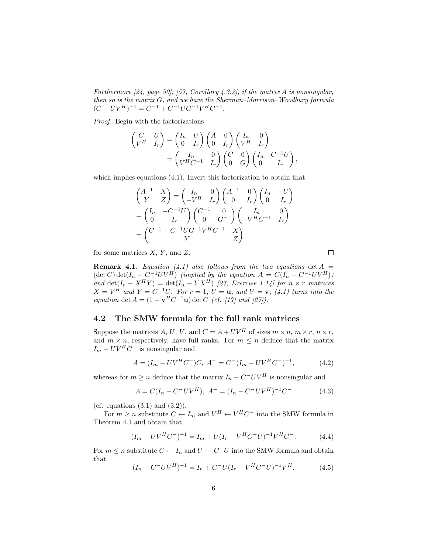*Furthermore [24, page 50], [57, Corollary 4.3.2], if the matrix* A *is nonsingular, then so is the matrix* G*, and we have the Sherman–Morrison–Woodbury formula*  $(C - UV^H)^{-1} = C^{-1} + C^{-1}UG^{-1}V^HC^{-1}.$ 

*Proof.* Begin with the factorizations

$$
\begin{pmatrix}\nC & U \\
V^H & I_r\n\end{pmatrix} =\n\begin{pmatrix}\nI_n & U \\
0 & I_r\n\end{pmatrix}\n\begin{pmatrix}\nA & 0 \\
0 & I_r\n\end{pmatrix}\n\begin{pmatrix}\nI_n & 0 \\
V^H & I_r\n\end{pmatrix} \\
= \begin{pmatrix}\nI_n & 0 \\
V^H C^{-1} & I_r\n\end{pmatrix}\n\begin{pmatrix}\nC & 0 \\
0 & G\n\end{pmatrix}\n\begin{pmatrix}\nI_n & C^{-1}U \\
0 & I_r\n\end{pmatrix},
$$

which implies equations (4.1). Invert this factorization to obtain that

$$
\begin{pmatrix}\nA^{-1} & X \\
Y & Z\n\end{pmatrix} = \begin{pmatrix}\nI_n & 0 \\
-V^H & I_r\n\end{pmatrix} \begin{pmatrix}\nA^{-1} & 0 \\
0 & I_r\n\end{pmatrix} \begin{pmatrix}\nI_n & -U \\
0 & I_r\n\end{pmatrix}
$$
\n
$$
= \begin{pmatrix}\nI_n & -C^{-1}U \\
0 & I_r\n\end{pmatrix} \begin{pmatrix}\nC^{-1} & 0 \\
0 & G^{-1}\n\end{pmatrix} \begin{pmatrix}\nI_n & 0 \\
-V^HC^{-1} & I_r\n\end{pmatrix}
$$
\n
$$
= \begin{pmatrix}\nC^{-1} + C^{-1}UG^{-1}V^HC^{-1} & X \\
Y & Z\n\end{pmatrix}
$$

for some matrices  $X, Y$ , and  $Z$ .

**Remark 4.1.** *Equation* (4.1) also follows from the two equations  $\det A$  $(\det C) \det(I_n - C^{-1}UV^H)$  *(implied by the equation*  $A = C(I_n - C^{-1}UV^H)$ ) *and*  $\det(I_r - X^H Y) = \det(I_n - Y X^H)$  *[27, Exercise 1.14] for*  $n \times r$  *matrices*  $X - V^H$  *and*  $Y - C^{-1} U$  *For*  $r = 1$  *U* = **u** *and*  $Y = X$  *(t, 1)* turns into the  $X = V^H$  and  $Y = C^{-1}U$ . For  $r = 1$ ,  $U = \mathbf{u}$ , and  $V = \mathbf{v}$ , (4.1) turns into the equation det  $A = (1 - \mathbf{v}^H C^{-1} \mathbf{u})$  det  $C$  (cf. [17] and [97]) *equation* det  $A = (1 - \mathbf{v}^H C^{-1} \mathbf{u}) \det C$  *(cf. [17] and [27]).* 

### **4.2 The SMW formula for the full rank matrices**

Suppose the matrices A, U, V, and  $C = A + UV^H$  of sizes  $m \times n$ ,  $m \times r$ ,  $n \times r$ , and  $m \times n$ , respectively, have full ranks. For  $m \leq n$  deduce that the matrix  $I_m - UV^H C^-$  is nonsingular and

$$
A = (I_m - UV^H C^-)C, A^- = C^-(I_m - UV^H C^-)^{-1}, \tag{4.2}
$$

whereas for  $m \ge n$  deduce that the matrix  $I_n - C^-UV^H$  is nonsingular and

$$
A = C(I_n - C^-UV^H), A^- = (I_n - C^-UV^H)^{-1}C^-
$$
 (4.3)

(cf. equations  $(3.1)$  and  $(3.2)$ ).

For  $m \ge n$  substitute  $C \stackrel{\sim}{\leftarrow} I_m$  and  $V^H \leftarrow V^H C^-$  into the SMW formula in Theorem 4.1 and obtain that

$$
(I_m - UV^H C^-)^{-1} = I_m + U(I_r - V^H C^- U)^{-1} V^H C^-.
$$
 (4.4)

For  $m \leq n$  substitute  $C \leftarrow I_n$  and  $U \leftarrow C^-U$  into the SMW formula and obtain that

$$
(I_n - C^- UV^H)^{-1} = I_n + C^- U (I_r - V^H C^- U)^{-1} V^H.
$$
 (4.5)

 $\Box$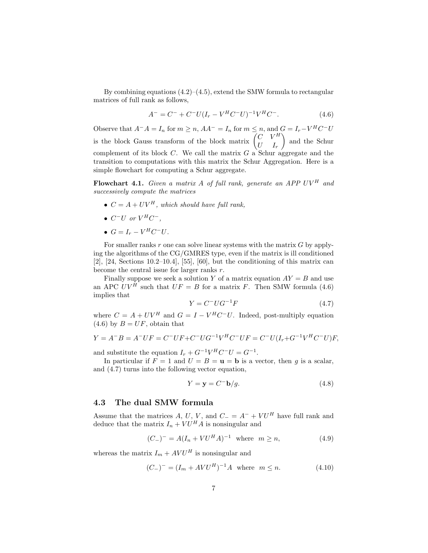By combining equations  $(4.2)$ – $(4.5)$ , extend the SMW formula to rectangular matrices of full rank as follows,

$$
A^{-} = C^{-} + C^{-}U(I_{r} - V^{H}C^{-}U)^{-1}V^{H}C^{-}.
$$
\n(4.6)

Observe that  $A^-A = I_n$  for  $m \ge n$ ,  $AA^- = I_n$  for  $m \le n$ , and  $G = I_r - V^H C^- U$ is the block Gauss transform of the block matrix  $\begin{pmatrix} C & V^H \\ I^I & I \end{pmatrix}$  and the Schur complement of its block C. We call the matrix G a Schur aggregate and the<br>transition to computations with this matrix the Schur Aggregation. Here is a transition to computations with this matrix the Schur Aggregation. Here is a simple flowchart for computing a Schur aggregate.

**Flowchart 4.1.** *Given a matrix* A *of full rank, generate an APP UV<sup>H</sup> and successively compute the matrices*

- $C = A + UV^H$ *, which should have full rank,*
- $C^-U$  *or*  $V^HC^-$ *,*
- $G = I_r V^H C^- U$ .

For smaller ranks r one can solve linear systems with the matrix  $G$  by applying the algorithms of the CG/GMRES type, even if the matrix is ill conditioned [2], [24, Sections 10.2–10.4], [55], [60], but the conditioning of this matrix can become the central issue for larger ranks r.

Finally suppose we seek a solution Y of a matrix equation  $AY = B$  and use an APC  $UV^{\tilde{H}}$  such that  $UF = B$  for a matrix F. Then SMW formula (4.6) implies that

$$
Y = C^- U G^{-1} F \tag{4.7}
$$

where  $C = A + UV^H$  and  $G = I - V^H C^- U$ . Indeed, post-multiply equation (4.6) by  $B - I\ell F$  obtain that  $(4.6)$  by  $B = UF$ , obtain that

$$
Y = A^{-}B = A^{-}UF = C^{-}UF + C^{-}UG^{-1}V^{H}C^{-}UF = C^{-}U(I_{r} + G^{-1}V^{H}C^{-}U)F,
$$

and substitute the equation  $I_r + G^{-1}V^H C^-U = G^{-1}$ .

In particular if  $F = 1$  and  $U = B = \mathbf{u} = \mathbf{b}$  is a vector, then q is a scalar, and (4.7) turns into the following vector equation,

$$
Y = \mathbf{y} = C^{-1}\mathbf{b}/g.
$$
 (4.8)

### **4.3 The dual SMW formula**

Assume that the matrices A, U, V, and  $C = A^- + VU^H$  have full rank and deduce that the matrix  $I_n + V U^H A$  is nonsingular and

$$
(C_{-})^{-} = A(I_n + VU^H A)^{-1} \text{ where } m \ge n,
$$
\n(4.9)

whereas the matrix  $I_m + AVU^H$  is nonsingular and

$$
(C_{-})^{-} = (I_m + AVU^H)^{-1}A \text{ where } m \le n.
$$
 (4.10)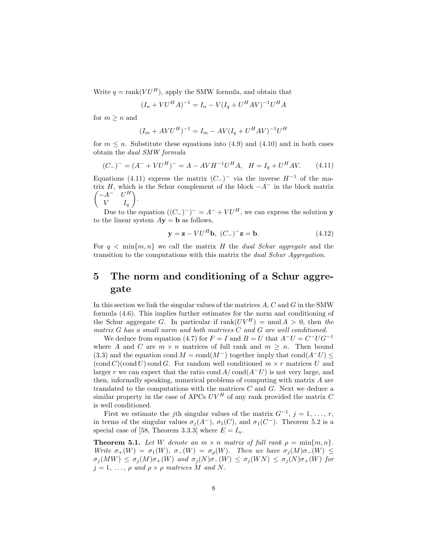Write  $q = \text{rank}(V U^H)$ , apply the SMW formula, and obtain that

$$
(I_n + VU^H A)^{-1} = I_n - V(I_q + U^H A V)^{-1} U^H A
$$

for  $m \geq n$  and

$$
(I_m + AVU^H)^{-1} = I_m - AV(I_q + U^HAV)^{-1}U^H
$$

for  $m \leq n$ . Substitute these equations into (4.9) and (4.10) and in both cases obtain the *dual SMW formula*

$$
(C_{-})^{-} = (A^{-} + VU^{H})^{-} = A - AVH^{-1}U^{H}A, \quad H = I_{q} + U^{H}AV.
$$
 (4.11)

Equations (4.11) express the matrix  $(C<sub>-</sub>)$ <sup>-</sup> via the inverse  $H<sup>-1</sup>$  of the matrix H, which is the Schur complement of the block  $-A^-$  in the block matrix  $\begin{pmatrix} -A^- & U^H \end{pmatrix}$  $\begin{pmatrix} -A^- & U^H \\ V & I \end{pmatrix}$ .

Due to the equation  $((C_{-})^{-})^{-} = A^{-} + VU^{H}$ , we can express the solution **y**<br>the linear system  $A$ **y** – **h** as follows to the linear system  $A$ **y** = **b** as follows,

$$
\mathbf{y} = \mathbf{z} - V U^H \mathbf{b}, \ (C_-)^{-} \mathbf{z} = \mathbf{b}.
$$
 (4.12)

For  $q \text{ } \leq \min\{m, n\}$  we call the matrix H the *dual Schur aggregate* and the transition to the computations with this matrix the *dual Schur Aggregation*.

# **5 The norm and conditioning of a Schur aggregate**

In this section we link the singular values of the matrices A, C and G in the SMW formula (4.6). This implies further estimates for the norm and conditioning of the Schur aggregate G. In particular if  $\text{rank}(UV^H) = \text{mul } A > 0$ , then the *matrix* G *has a small norm and both matrices* C *and* G *are well conditioned.*

We deduce from equation (4.7) for  $F = I$  and  $B = U$  that  $A^-U = C^-UG^{-1}$ where A and C are  $m \times n$  matrices of full rank and  $m \geq n$ . Then bound (3.3) and the equation cond  $M = \text{cond}(M^-)$  together imply that cond( $A^-U$ ) ≤  $(\text{cond } C)(\text{cond } U)$  cond G. For random well conditioned  $m \times r$  matrices U and larger r we can expect that the ratio cond  $A/\text{cond}(A-U)$  is not very large, and then, informally speaking, numerical problems of computing with matrix A are translated to the computations with the matrices  $C$  and  $G$ . Next we deduce a similar property in the case of APCs  $UV^H$  of any rank provided the matrix C is well conditioned.

First we estimate the *j*th singular values of the matrix  $G^{-1}$ ,  $j = 1, \ldots, r$ , in terms of the singular values  $\sigma_i(A^-)$ ,  $\sigma_1(C)$ , and  $\sigma_1(C^-)$ . Theorem 5.2 is a special case of [58, Theorem 3.3.3] where  $E = I_n$ .

**Theorem 5.1.** Let W denote an  $m \times n$  matrix of full rank  $\rho = \min\{m, n\}$ . *Write*  $\sigma_+(W) = \sigma_1(W)$ ,  $\sigma_-(W) = \sigma_o(W)$ *. Then we have*  $\sigma_i(M)\sigma_-(W) \leq$  $\sigma_j(MW) \leq \sigma_j(M)\sigma_+(W)$  and  $\sigma_j(N)\sigma_-(W) \leq \sigma_j(WN) \leq \sigma_j(N)\sigma_+(W)$  for  $j = 1, \ldots, \rho$  and  $\rho \times \rho$  matrices M and N.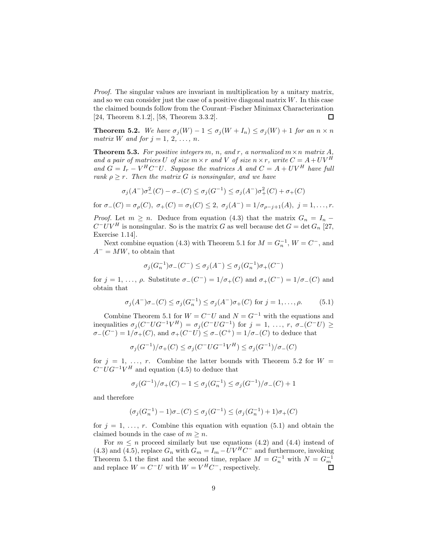*Proof.* The singular values are invariant in multiplication by a unitary matrix, and so we can consider just the case of a positive diagonal matrix  $W$ . In this case the claimed bounds follow from the Courant–Fischer Minimax Characterization [24, Theorem 8.1.2], [58, Theorem 3.3.2]. □

**Theorem 5.2.** We have  $\sigma_j(W) - 1 \leq \sigma_j(W + I_n) \leq \sigma_j(W) + 1$  for an  $n \times n$ *matrix W and for*  $j = 1, 2, ..., n$ *.* 

**Theorem 5.3.** For positive integers m, n, and r, a normalized  $m \times n$  matrix A, and a pair of matrices U of size  $m \times r$  and V of size  $n \times r$ , write  $C = A + UV^H$ and  $G = I_r - V^H C^- U$ . Suppose the matrices A and  $C = A + UV^H$  have full *rank*  $\rho \geq r$ *. Then the matrix G is nonsingular, and we have* 

$$
\sigma_j(A^-)\sigma^2_-(C) - \sigma_-(C) \le \sigma_j(G^{-1}) \le \sigma_j(A^-)\sigma^2_+(C) + \sigma_+(C)
$$

for  $\sigma$ <sub>−</sub>(C) =  $\sigma$ <sub>ρ</sub>(C),  $\sigma$ <sub>+</sub>(C) =  $\sigma$ <sub>1</sub>(C) ≤ 2,  $\sigma$ <sub>j</sub>(A<sup>−</sup>) = 1/ $\sigma$ <sub>ρ−j+1</sub>(A), j = 1,..., r.

*Proof.* Let  $m \geq n$ . Deduce from equation (4.3) that the matrix  $G_n = I_n$  –  $C^-UV^H$  is nonsingular. So is the matrix G as well because det  $G = \det G_n$  [27, Exercise 1.14].

Next combine equation (4.3) with Theorem 5.1 for  $M = G_n^{-1}$ ,  $W = C^-,$  and  $A^- = MW$ , to obtain that

$$
\sigma_j(G_n^{-1})\sigma_-(C^-) \le \sigma_j(A^-) \le \sigma_j(G_n^{-1})\sigma_+(C^-)
$$

for  $j = 1, \ldots, \rho$ . Substitute  $\sigma$ <sub>−</sub>(C<sup>−</sup>) = 1/ $\sigma$ <sub>+</sub>(C) and  $\sigma$ <sub>+</sub>(C<sup>−</sup>) = 1/ $\sigma$ <sub>−</sub>(C) and obtain that

$$
\sigma_j(A^-)\sigma_-(C) \le \sigma_j(G_n^{-1}) \le \sigma_j(A^-)\sigma_+(C) \text{ for } j=1,\ldots,\rho. \tag{5.1}
$$

Combine Theorem 5.1 for  $W = C^-U$  and  $N = G^{-1}$  with the equations and inequalities  $\sigma_j(C^-UG^{-1}V^H) = \sigma_j(C^-UG^{-1})$  for  $j = 1, \ldots, r, \sigma_{-}(C^-U) \ge$ <br> $\sigma_{-}(C^-) = 1/\sigma_{+}(C)$  and  $\sigma_{+}(C^-U) \leq \sigma_{-}(C^+)-1/\sigma_{-}(C)$  to deduce that  $\sigma$ <sub>−</sub>(C<sup>−</sup>) = 1/ $\sigma$ <sub>+</sub>(C<sup>)</sup>, and  $\sigma$ <sub>+</sub>(C<sup>−</sup>U) ≤  $\sigma$ <sub>−</sub>(C<sup>+</sup>) = 1/ $\sigma$ <sub>−</sub>(C) to deduce that

$$
\sigma_j(G^{-1})/\sigma_+(C) \leq \sigma_j(C^- U G^{-1} V^H) \leq \sigma_j(G^{-1})/\sigma_-(C)
$$

for  $j = 1, \ldots, r$ . Combine the latter bounds with Theorem 5.2 for  $W =$  $C^- U G^{-1} V^H$  and equation (4.5) to deduce that

$$
\sigma_j(G^{-1})/\sigma_+(C) - 1 \le \sigma_j(G_n^{-1}) \le \sigma_j(G^{-1})/\sigma_-(C) + 1
$$

and therefore

$$
(\sigma_j(G_n^{-1}) - 1)\sigma_-(C) \le \sigma_j(G^{-1}) \le (\sigma_j(G_n^{-1}) + 1)\sigma_+(C)
$$

for  $j = 1, \ldots, r$ . Combine this equation with equation (5.1) and obtain the claimed bounds in the case of  $m \geq n$ .<br>For  $m \leq n$  proceed similarly but use equations (4.2) and (4.4) instead of

For  $m \leq n$  proceed similarly but use equations (4.2) and (4.4) instead of<br>a) and (4.5) replace G with  $G = I - IUV^HC^-$  and furthermore invoking (4.3) and (4.5), replace  $G_n$  with  $G_m = I_m - UV^HC^-$  and furthermore, invoking<br>Theorem 5.1 the first and the second time, replace  $M - C^{-1}$  with  $N - C^{-1}$ Theorem 5.1 the first and the second time, replace  $M = G_n^{-1}$  with  $N = G_m^{-1}$ <br>and replace  $W = C^{-1}I$  with  $W = V^H C^-$  respectively and replace  $W = C^-U$  with  $W = V^H C^-$ , respectively.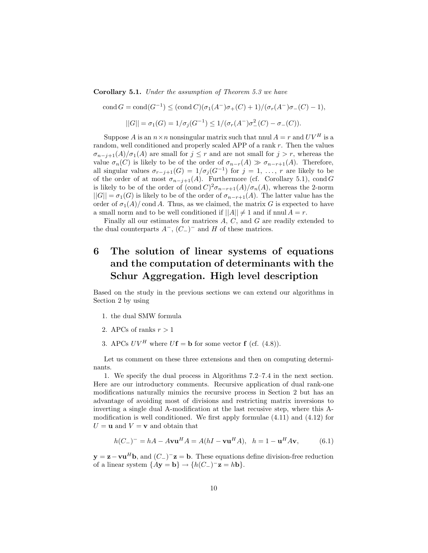**Corollary 5.1.** *Under the assumption of Theorem 5.3 we have*

cond  $G = \text{cond}(G^{-1}) \leq (\text{cond } C)(\sigma_1(A^-)\sigma_+(C) + 1)/(\sigma_r(A^-)\sigma_-(C) - 1),$  $||G|| = \sigma_1(G) = 1/\sigma_j(G^{-1}) \leq 1/(\sigma_r(A^-)\sigma^2_-(C) - \sigma_-(C)).$ 

Suppose A is an  $n \times n$  nonsingular matrix such that nnul  $A = r$  and  $UV^H$  is a random, well conditioned and properly scaled APP of a rank r. Then the values  $\sigma_{n-j+1}(A)/\sigma_1(A)$  are small for  $j \leq r$  and are not small for  $j > r$ , whereas the value  $\sigma_n(C)$  is likely to be of the order of  $\sigma_{n-r}(A) \gg \sigma_{n-r+1}(A)$ . Therefore, all singular values  $\sigma_{r-j+1}(G)=1/\sigma_j(G^{-1})$  for  $j=1, \ldots, r$  are likely to be of the order of at most  $\sigma_{n-j+1}(A)$ . Furthermore (cf. Corollary 5.1), cond G is likely to be of the order of  $(\text{cond } C)^2 \sigma_{n-r+1}(A)/\sigma_n(A)$ , whereas the 2-norm  $||G|| = \sigma_1(G)$  is likely to be of the order of  $\sigma_{n-r+1}(A)$ . The latter value has the order of  $\sigma_1(A)/\text{cond } A$ . Thus, as we claimed, the matrix G is expected to have a small norm and to be well conditioned if  $||A|| \neq 1$  and if nnul  $A = r$ .

Finally all our estimates for matrices A, C, and G are readily extended to the dual counterparts  $A^-$ ,  $(C_-)^-$  and H of these matrices.

# **6 The solution of linear systems of equations and the computation of determinants with the Schur Aggregation. High level description**

Based on the study in the previous sections we can extend our algorithms in Section 2 by using

- 1. the dual SMW formula
- 2. APCs of ranks  $r > 1$
- 3. APCs  $UV^H$  where  $U$ **f** = **b** for some vector **f** (cf. (4.8)).

Let us comment on these three extensions and then on computing determinants.

1. We specify the dual process in Algorithms 7.2–7.4 in the next section. Here are our introductory comments. Recursive application of dual rank-one modifications naturally mimics the recursive process in Section 2 but has an advantage of avoiding most of divisions and restricting matrix inversions to inverting a single dual A-modification at the last recusive step, where this Amodification is well conditioned. We first apply formulae (4.11) and (4.12) for  $U = \mathbf{u}$  and  $V = \mathbf{v}$  and obtain that

$$
h(C_{-})^{-} = hA - AvuH A = A(hI - vuH A), \quad h = 1 - uH Av,
$$
(6.1)

**y** = **z**−**vu**<sup>H</sup>**b**, and  $(C_$ <sup>−</sup>**z** = **b**. These equations define division-free reduction of a linear system  $\{Ay = \mathbf{b}\} \rightarrow \{h(C_{-})^{-}\mathbf{z} = h\mathbf{b}\}.$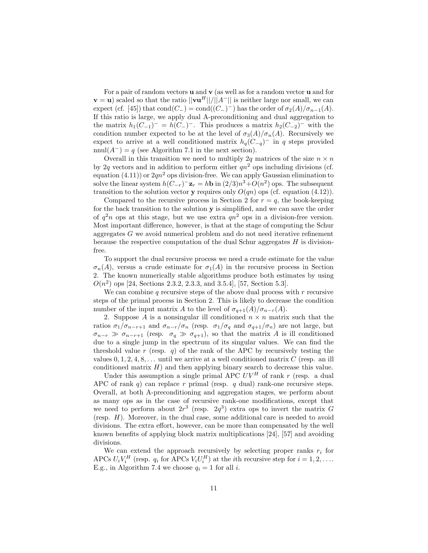For a pair of random vectors **u** and **v** (as well as for a random vector **u** and for **v** = **u**) scaled so that the ratio  $||\mathbf{v}\mathbf{u}^H||/||A<sup>-</sup>||$  is neither large nor small, we can expect (cf. [45]) that cond( $C_-\$ ) = cond( $(C_-\)$ <sup>−</sup>) has the order of  $\sigma_2(A)/\sigma_{n-1}(A)$ . If this ratio is large, we apply dual A-preconditioning and dual aggregation to the matrix  $h_1(C_{-1})^- = h(C_{-})^-$ . This produces a matrix  $h_2(C_{-2})^-$  with the condition number expected to be at the level of  $\sigma_3(A)/\sigma_n(A)$ . Recursively we expect to arrive at a well conditioned matrix  $h_q(C_{-q})$ <sup>-</sup> in q steps provided nnul( $A^-$ ) = q (see Algorithm 7.1 in the next section).

Overall in this transition we need to multiply 2q matrices of the size  $n \times n$ by 2q vectors and in addition to perform either  $qn^2$  ops including divisions (cf. equation (4.11)) or  $2qn^2$  ops division-free. We can apply Gaussian elimination to solve the linear system  $h(C_{-r})^-\mathbf{z}_r = h\mathbf{b}$  in  $\left(\frac{2}{3}\right)n^3 + O(n^2)$  ops. The subsequent transition to the solution vector **y** requires only  $O(qn)$  ops (cf. equation (4.12)).

Compared to the recursive process in Section 2 for  $r = q$ , the book-keeping for the back transition to the solution **y** is simplified, and we can save the order of  $q^2n$  ops at this stage, but we use extra  $qn^2$  ops in a division-free version. Most important difference, however, is that at the stage of computing the Schur aggregates G we avoid numerical problem and do not need iterative refinement because the respective computation of the dual Schur aggregates  $H$  is divisionfree.

To support the dual recursive process we need a crude estimate for the value  $\sigma_n(A)$ , versus a crude estimate for  $\sigma_1(A)$  in the recursive process in Section 2. The known numerically stable algorithms produce both estimates by using  $O(n^2)$  ops [24, Sections 2.3.2, 2.3.3, and 3.5.4], [57, Section 5.3].

We can combine q recursive steps of the above dual process with  $r$  recursive steps of the primal process in Section 2. This is likely to decrease the condition number of the input matrix A to the level of  $\sigma_{q+1}(A)/\sigma_{n-r}(A)$ .

2. Suppose A is a nonsingular ill conditioned  $n \times n$  matrix such that the ratios  $\sigma_1/\sigma_{n-r+1}$  and  $\sigma_{n-r}/\sigma_n$  (resp.  $\sigma_1/\sigma_q$  and  $\sigma_{q+1}/\sigma_n$ ) are not large, but  $\sigma_{n-r} \gg \sigma_{n-r+1}$  (resp.  $\sigma_q \gg \sigma_{q+1}$ ), so that the matrix A is ill conditioned<br>due to a single jump in the spectrum of its singular values. We can find the due to a single jump in the spectrum of its singular values. We can find the threshold value r (resp. q) of the rank of the APC by recursively testing the values  $0, 1, 2, 4, 8, \ldots$  until we arrive at a well conditioned matrix C (resp. an ill conditioned matrix  $H$ ) and then applying binary search to decrease this value.

Under this assumption a single primal APC  $UV^H$  of rank r (resp. a dual APC of rank  $q$ ) can replace r primal (resp.  $q$  dual) rank-one recursive steps. Overall, at both A-preconditioning and aggregation stages, we perform about as many ops as in the case of recursive rank-one modifications, except that we need to perform about  $2r^3$  (resp.  $2q^3$ ) extra ops to invert the matrix G (resp. H). Moreover, in the dual case, some additional care is needed to avoid divisions. The extra effort, however, can be more than compensated by the well known benefits of applying block matrix multiplications [24], [57] and avoiding divisions.

We can extend the approach recursively by selecting proper ranks  $r_i$  for APCs  $U_i V_i^H$  (resp.  $q_i$  for APCs  $V_i U_i^H$ ) at the *i*th recursive step for  $i = 1, 2, \ldots$ .<br>E.g. in Algorithm 7.4 we choose  $q_i = 1$  for all *i* E.g., in Algorithm 7.4 we choose  $q_i = 1$  for all *i*.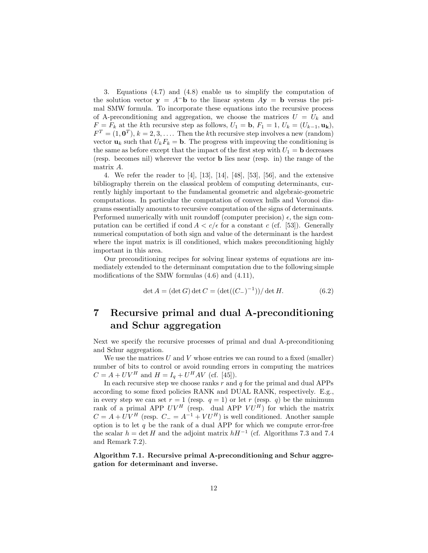3. Equations (4.7) and (4.8) enable us to simplify the computation of the solution vector  $y = A^-b$  to the linear system  $Ay = b$  versus the primal SMW formula. To incorporate these equations into the recursive process of A-preconditioning and aggregation, we choose the matrices  $U = U_k$  and  $F = F_k$  at the kth recursive step as follows,  $U_1 = \mathbf{b}, F_1 = 1, U_k = (U_{k-1}, \mathbf{u_k}),$  $F<sup>T</sup> = (1, 0<sup>T</sup>), k = 2, 3, \ldots$  Then the kth recursive step involves a new (random) vector  $\mathbf{u}_k$  such that  $U_k F_k = \mathbf{b}$ . The progress with improving the conditioning is the same as before except that the impact of the first step with  $U_1 = \mathbf{b}$  decreases (resp. becomes nil) wherever the vector **b** lies near (resp. in) the range of the matrix A.

4. We refer the reader to [4], [13], [14], [48], [53], [56], and the extensive bibliography therein on the classical problem of computing determinants, currently highly important to the fundamental geometric and algebraic-geometric computations. In particular the computation of convex hulls and Voronoi diagrams essentially amounts to recursive computation of the signs of determinants. Performed numerically with unit roundoff (computer precision)  $\epsilon$ , the sign computation can be certified if cond  $A < c/\epsilon$  for a constant c (cf. [53]). Generally numerical computation of both sign and value of the determinant is the hardest where the input matrix is ill conditioned, which makes preconditioning highly important in this area.

Our preconditioning recipes for solving linear systems of equations are immediately extended to the determinant computation due to the following simple modifications of the SMW formulas (4.6) and (4.11),

$$
\det A = (\det G) \det C = (\det((C_{-})^{-1})) / \det H.
$$
 (6.2)

# **7 Recursive primal and dual A-preconditioning and Schur aggregation**

Next we specify the recursive processes of primal and dual A-preconditioning and Schur aggregation.

We use the matrices  $U$  and  $V$  whose entries we can round to a fixed (smaller) number of bits to control or avoid rounding errors in computing the matrices  $C = A + UV^H$  and  $H = I_a + U^H A V$  (cf. [45]).

In each recursive step we choose ranks  $r$  and  $q$  for the primal and dual APPs according to some fixed policies RANK and DUAL RANK, respectively. E.g., in every step we can set  $r = 1$  (resp.  $q = 1$ ) or let r (resp. q) be the minimum rank of a primal APP  $UV^H$  (resp. dual APP  $VU^H$ ) for which the matrix  $C = A + UV^H$  (resp.  $C = A^{-1} + VU^H$ ) is well conditioned. Another sample option is to let  $q$  be the rank of a dual APP for which we compute error-free the scalar  $h = \det H$  and the adjoint matrix  $hH^{-1}$  (cf. Algorithms 7.3 and 7.4 and Remark 7.2).

**Algorithm 7.1. Recursive primal A-preconditioning and Schur aggregation for determinant and inverse.**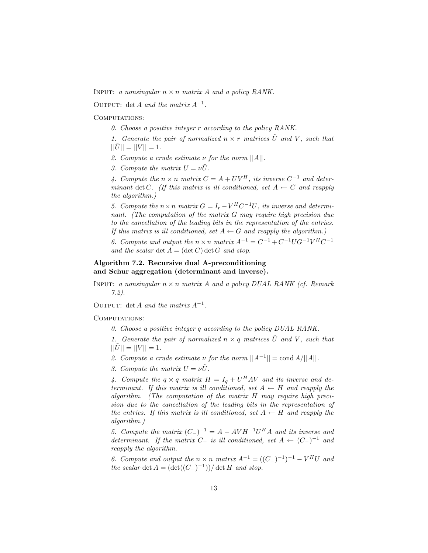INPUT: *a nonsingular*  $n \times n$  *matrix* A *and a policy RANK.* 

Output: det <sup>A</sup> *and the matrix* <sup>A</sup>*−*1*.*

COMPUTATIONS:

- *0. Choose a positive integer* r *according to the policy RANK.*
- *1. Generate the pair of normalized*  $n \times r$  *matrices*  $\tilde{U}$  *and* V, *such that*  $||U|| = ||V|| = 1.$
- *2. Compute a crude estimate* ν *for the norm* ||A||*.*
- *3. Compute the matrix*  $U = \nu \tilde{U}$ .

*4. Compute the*  $n \times n$  *matrix*  $C = A + UV^H$ *, its inverse*  $C^{-1}$  *and determinant* det C. (If this matrix is ill conditioned, set  $A \leftarrow C$  and reapply *the algorithm.)*

*5. Compute the*  $n \times n$  *matrix*  $G = I_r - V^H C^{-1} U$ , *its inverse and determinant. (The computation of the matrix* G *may require high precision due to the cancellation of the leading bits in the representation of the entries. If this matrix is ill conditioned, set*  $A \leftarrow G$  *and reapply the algorithm.*)

*6. Compute and output the*  $n \times n$  *matrix*  $A^{-1} = C^{-1} + C^{-1} U G^{-1} V^H C^{-1}$ *and the scalar*  $\det A = (\det C) \det G$  *and stop.* 

#### **Algorithm 7.2. Recursive dual A-preconditioning and Schur aggregation (determinant and inverse).**

Input: *a nonsingular* n <sup>×</sup> n *matrix* A *and a policy DUAL RANK (cf. Remark 7.2).*

Output: det <sup>A</sup> *and the matrix* <sup>A</sup>*<sup>−</sup>*<sup>1</sup>*.*

COMPUTATIONS:

*0. Choose a positive integer* q *according to the policy DUAL RANK.*

*1. Generate the pair of normalized*  $n \times q$  *matrices*  $\tilde{U}$  *and* V, *such that*  $||U|| = ||V|| = 1.$ 

- 2. Compute a crude estimate  $\nu$  for the norm  $||A^{-1}|| = \text{cond } A/||A||$ .
- *3. Compute the matrix*  $U = \nu \tilde{U}$ .

4. Compute the  $q \times q$  matrix  $H = I_q + U^H A V$  and its inverse and de*terminant.* If this matrix is ill conditioned, set  $A \leftarrow H$  and reapply the *algorithm. (The computation of the matrix* H *may require high precision due to the cancellation of the leading bits in the representation of the entries. If this matrix is ill conditioned, set*  $A \leftarrow H$  *and reapply the algorithm.)*

*5. Compute the matrix*  $(C_-\)^{-1} = A - AVH^{-1}U^H A$  *and its inverse and determinant.* If the matrix  $C_$  *is ill conditioned, set*  $A \leftarrow (C_$ <sup>-1</sup> *and reapply the algorithm.*

*6. Compute and output the*  $n \times n$  *matrix*  $A^{-1} = ((C_{-})^{-1})^{-1} - V^{H}U$  *and the scalar* det  $A = (\det((C_{-})^{-1}))/\det H$  *and stop.*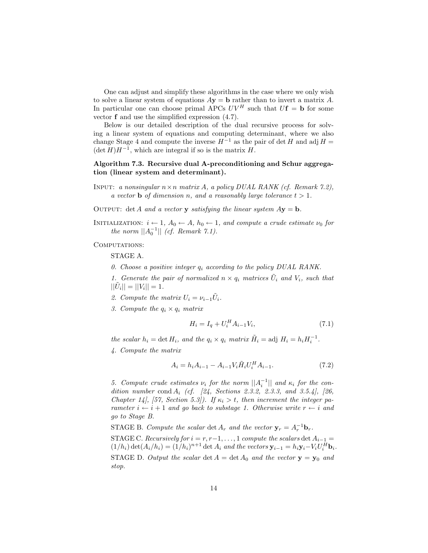One can adjust and simplify these algorithms in the case where we only wish to solve a linear system of equations  $A$ **y** = **b** rather than to invert a matrix A. In particular one can choose primal APCs  $UV^H$  such that  $Uf = b$  for some vector **f** and use the simplified expression (4.7).

Below is our detailed description of the dual recursive process for solving a linear system of equations and computing determinant, where we also change Stage 4 and compute the inverse  $H^{-1}$  as the pair of det H and adj  $H =$  $(\det H)H^{-1}$ , which are integral if so is the matrix H.

### **Algorithm 7.3. Recursive dual A-preconditioning and Schur aggregation (linear system and determinant).**

- Input: *a nonsingular* n×n *matrix* A*, a policy DUAL RANK (cf. Remark 7.2), a* vector **b** of dimension *n*, and *a* reasonably large tolerance  $t > 1$ .
- OUTPUT: det A and a vector **y** *satisfying the linear system*  $Ay = b$ *.*
- INITIALIZATION:  $i \leftarrow 1$ *,*  $A_0 \leftarrow A$ *,*  $h_0 \leftarrow 1$ *, and compute a crude estimate*  $\nu_0$  *for the norm*  $||A_0^{-1}||$  *(cf. Remark 7.1).*

COMPUTATIONS:

STAGE A.

*0. Choose a positive integer* <sup>q</sup><sup>i</sup> *according to the policy DUAL RANK.*

*1. Generate the pair of normalized*  $n \times q_i$  *matrices*  $\tilde{U}_i$  *and*  $V_i$ *, such that*  $||U_i|| = ||V_i|| = 1.$ 

- 2. Compute the matrix  $U_i = \nu_{i-1} \tilde{U}_i$ .
- *3. Compute the*  $q_i \times q_i$  *matrix*

$$
H_i = I_q + U_i^H A_{i-1} V_i,
$$
\n(7.1)

*the scalar*  $h_i = \det H_i$ *, and the*  $q_i \times q_i$  *matrix*  $\tilde{H}_i = \text{adj } H_i = h_i H_i^{-1}$ *.* 

*4. Compute the matrix*

$$
A_i = h_i A_{i-1} - A_{i-1} V_i \tilde{H}_i U_i^H A_{i-1}.
$$
\n(7.2)

*5. Compute crude estimates*  $\nu_i$  *for the norm*  $||A_i^{-1}||$  *and*  $\kappa_i$  *for the condition number cond 4. (cf. [91. Sections 9.3.9.9.3. and 3.5.1.]* [96] *dition number* cond <sup>A</sup><sup>i</sup> *(cf. [24, Sections 2.3.2, 2.3.3, and 3.5.4], [26, Chapter 14], [57, Section 5.3]).* If  $\kappa_i > t$ , then increment the integer pa*rameter*  $i \leftarrow i + 1$  *and go back to substage 1. Otherwise write*  $r \leftarrow i$  *and go to Stage B.*

STAGE B. *Compute the scalar* det  $A_r$  *and the vector*  $\mathbf{y}_r = A_r^{-1} \mathbf{b}_r$ .

STAGE C. *Recursively for*  $i = r, r-1, \ldots, 1$  *compute the scalars* det  $A_{i-1} =$  $(1/h_i) \det(A_i/h_i) = (1/h_i)^{n+1} \det A_i$  *and the vectors*  $\mathbf{y}_{i-1} = h_i \mathbf{y}_i - V_i U_i^H \mathbf{b}_i.$ STAGE D. *Output the scalar* det  $A = \det A_0$  *and the vector*  $\mathbf{y} = \mathbf{y}_0$  *and stop.*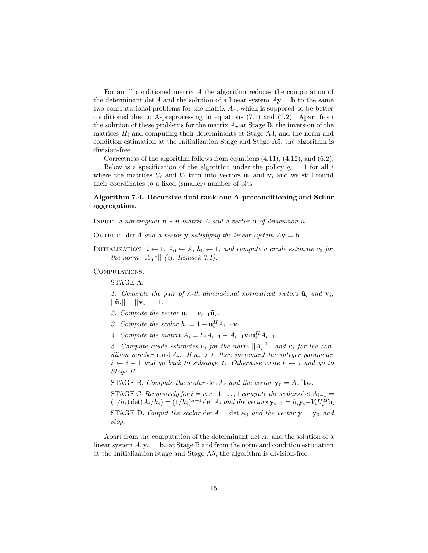For an ill conditioned matrix A the algorithm reduces the computation of the determinant det A and the solution of a linear system  $A$ **y** = **b** to the same two computational problems for the matrix  $A_r$ , which is supposed to be better conditioned due to A-preprocessing in equations (7.1) and (7.2). Apart from the solution of these problems for the matrix  $A_r$  at Stage B, the inversion of the matrices  $H_i$  and computing their determinants at Stage A3, and the norm and condition estimation at the Initialization Stage and Stage A5, the algorithm is division-free.

Correctness of the algorithm follows from equations  $(4.11)$ ,  $(4.12)$ , and  $(6.2)$ .

Below is a specification of the algorithm under the policy  $q_i = 1$  for all i where the matrices  $U_i$  and  $V_i$  turn into vectors  $\mathbf{u}_i$  and  $\mathbf{v}_i$  and we still round their coordinates to a fixed (smaller) number of bits.

### **Algorithm 7.4. Recursive dual rank-one A-preconditioning and Schur aggregation.**

INPUT: a nonsingular  $n \times n$  matrix A and a vector **b** of dimension n.

OUTPUT: det A and a vector **y** satisfying the linear system  $A$ **y** = **b**.

INITIALIZATION:  $i \leftarrow 1$ *,*  $A_0 \leftarrow A$ *,*  $h_0 \leftarrow 1$ *, and compute a crude estimate*  $\nu_0$  *for the norm*  $||A_0^{-1}||$  *(cf. Remark 7.1).* 

COMPUTATIONS:

STAGE A.

1. Generate the pair of n-th dimensional normalized vectors  $\tilde{\mathbf{u}}_i$  and  $\mathbf{v}_i$ ,  $||\tilde{\mathbf{u}}_i|| = ||\mathbf{v}_i|| = 1.$ 

- 2. Compute the vector  $\mathbf{u}_i = \nu_{i-1} \tilde{\mathbf{u}}_i$ .
- *3. Compute the scalar*  $h_i = 1 + \mathbf{u}_i^H A_{i-1} \mathbf{v}_i$ .
- *4.* Compute the matrix  $A_i = h_i A_{i-1} A_{i-1} \mathbf{v}_i \mathbf{u}_i^H A_{i-1}$ .

*5. Compute crude estimates*  $\nu_i$  *for the norm*  $||A_i^{-1}||$  *and*  $\kappa_i$  *for the con-*<br>*dition number cond A i. If*  $\kappa_i \geq t$  *then increment the integer narameter dition number* cond  $A_i$ . If  $\kappa_i > t$ , then increment the integer parameter  $i \leftarrow i + 1$  *and go back to substage 1. Otherwise write*  $r \leftarrow i$  *and go to Stage B.*

STAGE B. Compute the scalar det  $A_r$  and the vector  $\mathbf{y}_r = A_r^{-1} \mathbf{b}_r$ .

STAGE C. *Recursively for*  $i = r, r-1, \ldots, 1$  *compute the scalars* det  $A_{i-1} =$  $(1/h_i) \det(A_i/h_i) = (1/h_i)^{n+1} \det A_i$  *and the vectors*  $\mathbf{y}_{i-1} = h_i \mathbf{y}_i - V_i U_i^H \mathbf{b}_i$ . STAGE D. Output the scalar  $\det A = \det A_0$  and the vector  $y = y_0$  and *stop.*

Apart from the computation of the determinant det  $A_r$  and the solution of a linear system  $A_r$ **y**<sub>r</sub> = **b**<sub>r</sub> at Stage B and from the norm and condition estimation at the Initialization Stage and Stage A5, the algorithm is division-free.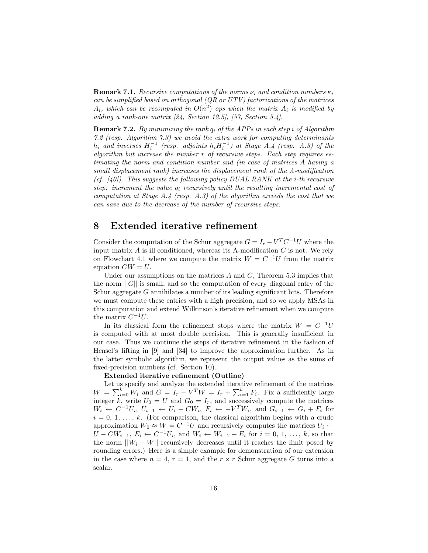**Remark 7.1.** *Recursive computations of the norms*  $\nu_i$  *and condition numbers*  $\kappa_i$ *can be simplified based on orthogonal (QR or UTV) factorizations of the matrices*  $A_i$ , which can be recomputed in  $O(n^2)$  ops when the matrix  $A_i$  is modified by *adding a rank-one matrix [24, Section 12.5], [57, Section 5.4].*

**Remark 7.2.** *By minimizing the rank* <sup>q</sup><sup>i</sup> *of the APPs in each step* <sup>i</sup> *of Algorithm 7.2 (resp. Algorithm 7.3) we avoid the extra work for computing determinants*  $h_i$  and inverses  $H_i^{-1}$  (resp. adjoints  $h_i H_i^{-1}$ ) at Stage A.4 (resp. A.3) of the<br>glacythm but increase the number r of recursive steps. Each step requires es*algorithm but increase the number* r *of recursive steps. Each step requires estimating the norm and condition number and (in case of matrices* A *having a small displacement rank) increases the displacement rank of the A-modification (cf. [40]). This suggests the following policy DUAL RANK at the* i*-th recursive step: increment the value*  $q_i$  *recursively until the resulting incremental cost of computation at Stage A.4 (resp. A.3) of the algorithm exceeds the cost that we can save due to the decrease of the number of recursive steps.*

### **8 Extended iterative refinement**

Consider the computation of the Schur aggregate  $G = I_r - V^T C^{-1} U$  where the input matrix  $A$  is ill conditioned, whereas its A-modification  $C$  is not. We rely on Flowchart 4.1 where we compute the matrix  $W = C^{-1}U$  from the matrix equation  $CW = U$ .

Under our assumptions on the matrices  $A$  and  $C$ , Theorem 5.3 implies that the norm  $||G||$  is small, and so the computation of every diagonal entry of the Schur aggregate  $G$  annihilates a number of its leading significant bits. Therefore we must compute these entries with a high precision, and so we apply MSAs in this computation and extend Wilkinson's iterative refinement when we compute the matrix  $C^{-1}U$ .

In its classical form the refinement stops where the matrix  $W = C^{-1}U$ is computed with at most double precision. This is generally insufficient in our case. Thus we continue the steps of iterative refinement in the fashion of Hensel's lifting in [9] and [34] to improve the approximation further. As in the latter symbolic algorithm, we represent the output values as the sums of fixed-precision numbers (cf. Section 10).

#### **Extended iterative refinement (Outline)**

Let us specify and analyze the extended iterative refinement of the matrices  $W = \sum_{i=0}^{k} W_i$  and  $G = I_r - V^T W = I_r + \sum_{i=1}^{k} F_i$ . Fix a sufficiently large<br>integer k, write  $U_0 = U$  and  $G_0 = I$  and successively compute the matrices integer k, write  $U_0 = U$  and  $G_0 = I_r$ , and successively compute the matrices  $W_i \stackrel{\sim}{\leftarrow} C^{-1}U_i, U_{i+1} \leftarrow U_i - CW_i, F_i \leftarrow -V^T W_i$ , and  $G_{i+1} \leftarrow G_i + F_i$  for  $i = 0, 1, \ldots, k$ . (For comparison, the classical algorithm begins with a crude approximation  $W_0 \approx W = C^{-1}U$  and recursively computes the matrices  $U_i \leftarrow$  $U - CW_{i-1}, E_i \leftarrow C^{-1}U_i$ , and  $W_i \leftarrow W_{i-1} + E_i$  for  $i = 0, 1, ..., k$ , so that the norm  $||W_i - W||$  recursively decreases until it reaches the limit posed by rounding errors.) Here is a simple example for demonstration of our extension in the case where  $n = 4$ ,  $r = 1$ , and the  $r \times r$  Schur aggregate G turns into a scalar.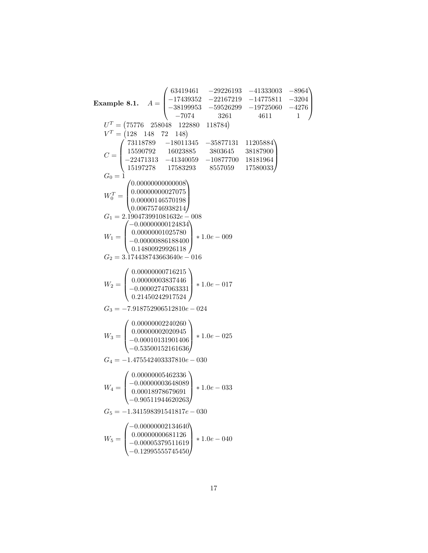**Example 8.1.** A <sup>=</sup> 63419461 −29226193 −41333003 −8964 −17439352 −22167219 −14775811 −3204 −38199953 −59526299 −19725060 −4276 −7074 3261 4611 1 <sup>U</sup><sup>T</sup> <sup>=</sup> 75776 258048 122880 118784 <sup>V</sup> <sup>T</sup> <sup>=</sup> 128 148 72 148 C <sup>=</sup> 73118789 −18011345 −35877131 11205884 15590792 16023885 3803645 38187900 −22471313 −41340059 −10877700 18181964 15197278 17583293 8557059 17580033 <sup>G</sup><sup>0</sup> = 1 WT <sup>0</sup> = <sup>0</sup>.<sup>00000000000008</sup> <sup>0</sup>.<sup>00000000027075</sup> <sup>0</sup>.<sup>00000146570198</sup> <sup>0</sup>.<sup>00675746938214</sup> <sup>G</sup><sup>1</sup> = 2.190473991081632e<sup>−</sup> <sup>008</sup> <sup>W</sup><sup>1</sup> <sup>=</sup> <sup>−</sup>0.<sup>00000000124834</sup> <sup>0</sup>.<sup>00000001025780</sup> <sup>−</sup>0.<sup>00000886188400</sup> <sup>0</sup>.<sup>14800929926118</sup> <sup>∗</sup> <sup>1</sup>.0<sup>e</sup> <sup>−</sup> <sup>009</sup> <sup>G</sup><sup>2</sup> = 3.174438743663640e<sup>−</sup> <sup>016</sup> <sup>W</sup><sup>2</sup> <sup>=</sup> <sup>0</sup>.<sup>00000000716215</sup> <sup>0</sup>.<sup>00000003837446</sup> <sup>−</sup>0.<sup>00002747063331</sup> <sup>0</sup>.<sup>21450242917524</sup> <sup>∗</sup> <sup>1</sup>.0<sup>e</sup> <sup>−</sup> <sup>017</sup> <sup>G</sup><sup>3</sup> <sup>=</sup> <sup>−</sup>7.918752906512810<sup>e</sup> <sup>−</sup> <sup>024</sup> <sup>W</sup><sup>3</sup> <sup>=</sup> <sup>0</sup>.<sup>00000002240260</sup> <sup>0</sup>.<sup>00000002020945</sup> <sup>−</sup>0.<sup>00010131901406</sup> <sup>−</sup>0.<sup>53500152161636</sup> <sup>∗</sup> <sup>1</sup>.0<sup>e</sup> <sup>−</sup> <sup>025</sup> <sup>G</sup><sup>4</sup> <sup>=</sup> <sup>−</sup>1.475542403337810<sup>e</sup> <sup>−</sup> <sup>030</sup> <sup>W</sup><sup>4</sup> <sup>=</sup> <sup>0</sup>.<sup>00000005462336</sup> <sup>−</sup>0.<sup>00000003648089</sup> <sup>0</sup>.<sup>00018978679691</sup> <sup>−</sup>0.<sup>90511944620263</sup> <sup>∗</sup> <sup>1</sup>.0<sup>e</sup> <sup>−</sup> <sup>033</sup> <sup>G</sup><sup>5</sup> <sup>=</sup> <sup>−</sup>1.341598391541817<sup>e</sup> <sup>−</sup> <sup>030</sup> <sup>W</sup><sup>5</sup> <sup>=</sup> <sup>−</sup>0.<sup>00000002134640</sup> <sup>0</sup>.<sup>00000000681126</sup> <sup>−</sup>0.<sup>00005379511619</sup> <sup>−</sup>0.<sup>12995555745450</sup> <sup>∗</sup> <sup>1</sup>.0<sup>e</sup> <sup>−</sup> <sup>040</sup>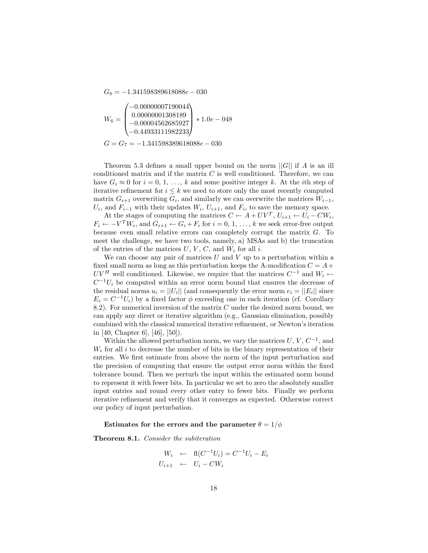$G_6 = -1.341598389618088e - 030$ 

$$
W_6 = \begin{pmatrix} -0.00000007190044 \\ 0.00000001308189 \\ -0.00004562685927 \\ -0.44933111982233 \end{pmatrix} * 1.0e - 0.048
$$
  

$$
G = G_7 = -1.341598389618088e - 0.30
$$

Theorem 5.3 defines a small upper bound on the norm  $||G||$  if A is an ill conditioned matrix and if the matrix  $C$  is well conditioned. Therefore, we can have  $G_i \approx 0$  for  $i = 0, 1, \ldots, k$  and some positive integer k. At the *i*th step of iterative refinement for  $i \leq k$  we need to store only the most recently computed matrix  $G_{i+1}$  overwriting  $G_i$ , and similarly we can overwrite the matrices  $W_{i-1}$ ,  $U_i$ , and  $F_{i-1}$  with their updates  $W_i$ ,  $U_{i+1}$ , and  $F_i$ , to save the memory space.<br>At the stages of computing the matrices  $C \leftarrow A + IUV^T$ ,  $U_{i+1} \leftarrow U_i - CW$ 

At the stages of computing the matrices  $C \leftarrow A + UV^T$ ,  $U_{i+1} \leftarrow U_i - CW_i$ ,<br> $- V^T W_{i}$  and  $C_{i+1} \leftarrow C_i + F_i$  for  $i = 0, 1$ , by the sock error-free output  $F_i \leftarrow -V^T W_i$ , and  $G_{i+1} \leftarrow G_i + F_i$  for  $i = 0, 1, \ldots, k$  we seek error-free output because even small relative errors can completely corrupt the matrix G. To meet the challenge, we have two tools, namely, a) MSAs and b) the truncation of the entries of the matrices  $U, V, C$ , and  $W_i$  for all i.

We can choose any pair of matrices  $U$  and  $V$  up to a perturbation within a fixed small norm as long as this perturbation keeps the A-modification  $C = A +$ UV<sup>H</sup> well conditioned. Likewise, we require that the matrices  $C^{-1}$  and  $W_i$  ←  $C^{-1}U_i$  be computed within an error norm bound that ensures the decrease of the residual norms  $u_i = ||U_i||$  (and consequently the error norm  $e_i = ||E_i||$  since  $E_i = C^{-1}U_i$ ) by a fixed factor  $\phi$  exceeding one in each iteration (cf. Corollary 8.2). For numerical inversion of the matrix  $C$  under the desired norm bound, we can apply any direct or iterative algorithm (e.g., Gaussian elimination, possibly combined with the classical numerical iterative refinement, or Newton's iteration in [40, Chapter 6], [46], [50]).

Within the allowed perturbation norm, we vary the matrices  $U, V, C^{-1}$ , and  $W_i$  for all i to decrease the number of bits in the binary representation of their entries. We first estimate from above the norm of the input perturbation and the precision of computing that ensure the output error norm within the fixed tolerance bound. Then we perturb the input within the estimated norm bound to represent it with fewer bits. In particular we set to zero the absolutely smaller input entries and round every other entry to fewer bits. Finally we perform iterative refinement and verify that it converges as expected. Otherwise correct our policy of input perturbation.

#### **Estimates for the errors and the parameter**  $\theta = 1/\phi$

**Theorem 8.1.** *Consider the subiteration*

$$
W_i \leftarrow \text{fl}(C^{-1}U_i) = C^{-1}U_i - E_i
$$
  

$$
U_{i+1} \leftarrow U_i - CW_i
$$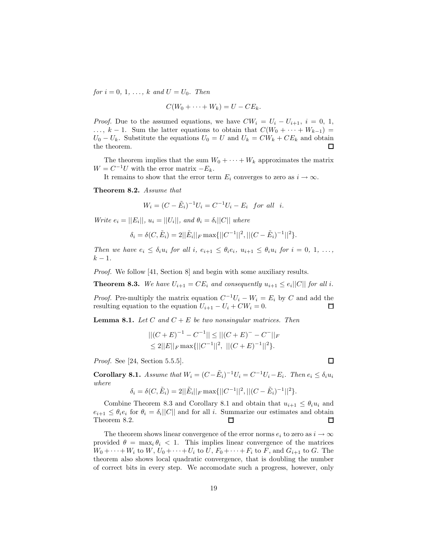*for*  $i = 0, 1, ..., k$  *and*  $U = U_0$ *. Then* 

$$
C(W_0 + \cdots + W_k) = U - CE_k.
$$

*Proof.* Due to the assumed equations, we have  $CW_i = U_i - U_{i+1}$ ,  $i = 0, 1$ , ...,  $k-1$ . Sum the latter equations to obtain that  $C(W_0 + \cdots + W_{k-1}) =$  $U_0 - U_k$ . Substitute the equations  $U_0 = U$  and  $U_k = CW_k + CE_k$  and obtain the theorem. the theorem.

The theorem implies that the sum  $W_0 + \cdots + W_k$  approximates the matrix  $W = C^{-1}U$  with the error matrix  $-E_k$ .

It remains to show that the error term  $E_i$  converges to zero as  $i \to \infty$ .

**Theorem 8.2.** *Assume that*

$$
W_i = (C - \tilde{E}_i)^{-1} U_i = C^{-1} U_i - E_i \text{ for all } i.
$$

*Write*  $e_i = ||E_i||$ ,  $u_i = ||U_i||$ , and  $\theta_i = \delta_i ||C||$  where

$$
\delta_i = \delta(C, \tilde{E}_i) = 2||\tilde{E}_i||_F \max\{||C^{-1}||^2, ||(C - \tilde{E}_i)^{-1}||^2\}.
$$

*Then we have*  $e_i \leq \delta_i u_i$  *for all i,*  $e_{i+1} \leq \theta_i e_i$ ,  $u_{i+1} \leq \theta_i u_i$  *for*  $i = 0, 1, \ldots$ ,  $k - 1$ .

*Proof.* We follow [41, Section 8] and begin with some auxiliary results.

**Theorem 8.3.** We have  $U_{i+1} = CE_i$  and consequently  $u_{i+1} \leq e_i ||C||$  for all i.

*Proof.* Pre-multiply the matrix equation  $C^{-1}U_i - W_i = E_i$  by C and add the resulting equation to the equation  $U_{i+1} - U_i + CW_i = 0$ . resulting equation to the equation  $U_{i+1} - U_i + CW_i = 0$ .

**Lemma 8.1.** *Let* C and  $C + E$  *be two nonsingular matrices. Then* 

$$
||(C+E)^{-1} - C^{-1}|| \le ||(C+E)^{-} - C^{-}||_{F}
$$
  
\n
$$
\le 2||E||_{F} \max{||C^{-1}||^{2}, ||(C+E)^{-1}||^{2}}.
$$

*Proof.* See [24, Section 5.5.5].

**Corollary 8.1.** *Assume that*  $W_i = (C - \tilde{E}_i)^{-1}U_i = C^{-1}U_i - E_i$ . Then  $e_i \leq \delta_i u_i$ *where*

$$
\delta_i = \delta(C, \tilde{E}_i) = 2||\tilde{E}_i||_F \max\{||C^{-1}||^2, ||(C - \tilde{E}_i)^{-1}||^2\}.
$$

Combine Theorem 8.3 and Corollary 8.1 and obtain that  $u_{i+1} \leq \theta_i u_i$  and  $e_{i+1} \leq \theta_i e_i$  for  $\theta_i = \delta_i ||C||$  and for all *i*. Summarize our estimates and obtain Theorem 8.2. Theorem 8.2.

The theorem shows linear convergence of the error norms  $e_i$  to zero as  $i \to \infty$ provided  $\theta = \max_i \theta_i < 1$ . This implies linear convergence of the matrices  $W_0 + \cdots + W_i$  to  $W, U_0 + \cdots + U_i$  to  $U, F_0 + \cdots + F_i$  to  $F$ , and  $G_{i+1}$  to  $G$ . The theorem also shows local quadratic convergence, that is doubling the number of correct bits in every step. We accomodate such a progress, however, only

 $\Box$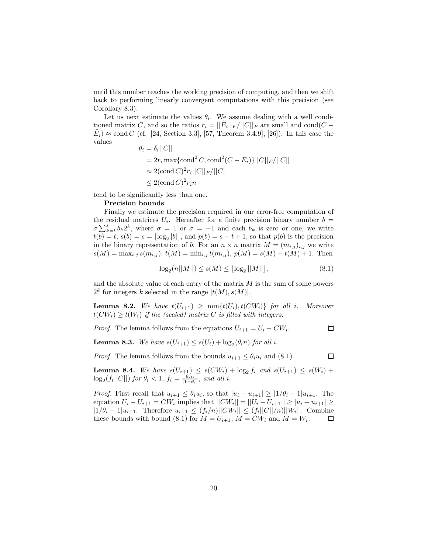until this number reaches the working precision of computing, and then we shift back to performing linearly convergent computations with this precision (see Corollary 8.3).

Let us next estimate the values  $\theta_i$ . We assume dealing with a well conditioned matrix C, and so the ratios  $r_i = ||E_i||_F/||C||_F$  are small and cond(C –  $E_i) \approx \text{cond } C$  (cf. [24, Section 3.3], [57, Theorem 3.4.9], [26]). In this case the values

$$
\theta_i = \delta_i ||C||
$$
  
=  $2r_i \max{\text{cond}^2 C, \text{cond}^2 (C - E_i)}||C||_F/||C||$   
 $\approx 2(\text{cond } C)^2 r_i ||C||_F/||C||$   
 $\leq 2(\text{cond } C)^2 r_i n$ 

tend to be significantly less than one.

### **Precision bounds**

Finally we estimate the precision required in our error-free computation of the residual matrices  $U_i$ . Hereafter for a finite precision binary number  $b =$  $\sigma \sum_{k=t}^{s} b_k 2^k$ , where  $\sigma = 1$  or  $\sigma = -1$  and each  $b_k$  is zero or one, we write  $t(b) = t$ ,  $s(b) = s = \lfloor \log_2 |b| \rfloor$ , and  $p(b) = s - t + 1$ , so that  $p(b)$  is the precision in the binary representation of b. For an  $n \times n$  matrix  $M = (m_{i,j})_{i,j}$  we write  $s(M) = \max_{i,j} s(m_{i,j}), t(M) = \min_{i,j} t(m_{i,j}), p(M) = s(M) - t(M) + 1.$  Then

 $\log_2(n||M||) \leq s(M) \leq \lfloor \log_2 ||M|| \rfloor,$  (8.1)

and the absolute value of each entry of the matrix  $M$  is the sum of some powers  $2^k$  for integers k selected in the range  $[t(M), s(M)]$ .

**Lemma 8.2.** *We have*  $t(U_{i+1}) \geq \min\{t(U_i), t(CW_i)\}$  *for all i. Moreover*  $t(CW_i) \geq t(W_i)$  *if the (scaled) matrix* C *is filled with integers.* 

*Proof.* The lemma follows from the equations  $U_{i+1} = U_i - CW_i$ . □

**Lemma 8.3.** *We have*  $s(U_{i+1}) \leq s(U_i) + \log_2(\theta_i n)$  *for all i.* 

*Proof.* The lemma follows from the bounds  $u_{i+1} \leq \theta_i u_i$  and (8.1).

 $\Box$ 

**Lemma 8.4.** We have  $s(U_{i+1}) \leq s(CW_i) + \log_2 f_i$  and  $s(U_{i+1}) \leq s(W_i) + \log_2 f_i$  (find that  $s(U_{i+1}) \leq s(U_i)$ )  $\log_2(f_i||C||)$  *for*  $\theta_i < 1$ *,*  $f_i = \frac{\theta_i n}{|1-\theta_i|}$ *, and all i.* 

*Proof.* First recall that  $u_{i+1} \leq \theta_i u_i$ , so that  $|u_i - u_{i+1}| \geq |1/\theta_i - 1|u_{i+1}$ . The equation  $U_i - U_{i+1} = CW_i$  implies that  $||CW_i|| = ||U_i - U_{i+1}|| \ge |u_i - u_{i+1}| \ge$  $|1/\theta_i - 1|u_{i+1}$ . Therefore  $u_{i+1} \le (f_i/n)||CW_i|| \le (f_i||C||/n)||W_i||$ . Combine these bounds with bound (8.1) for  $M = U_{i+1}$ ,  $M = CW_i$  and  $M = W_i$ . these bounds with bound (8.1) for  $M = U_{i+1}$ ,  $M = CW_i$  and  $M = W_i$ .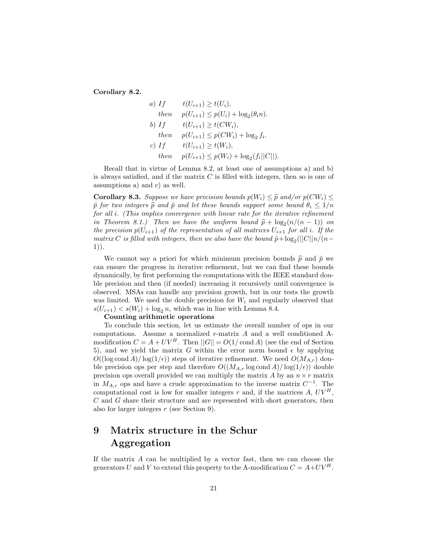**Corollary 8.2.**

a) If 
$$
t(U_{i+1}) \ge t(U_i)
$$
,  
\nthen  $p(U_{i+1}) \le p(U_i) + \log_2(\theta_i n)$ .  
\nb) If  $t(U_{i+1}) \ge t(CW_i)$ ,  
\nthen  $p(U_{i+1}) \le p(CW_i) + \log_2 f_i$ .  
\nc) If  $t(U_{i+1}) \ge t(W_i)$ ,  
\nthen  $p(U_{i+1}) \le p(W_i) + \log_2(f_i||C||)$ .

Recall that in virtue of Lemma 8.2, at least one of assumptions a) and b) is always satisfied, and if the matrix  $C$  is filled with integers, then so is one of assumptions a) and c) as well.

**Corollary 8.3.** *Suppose we have precision bounds*  $p(W_i) \leq \hat{p}$  and/or  $p(CW_i) \leq$  $\tilde{p}$  for two integers  $\hat{p}$  and  $\tilde{p}$  and let these bounds support some bound  $\theta_i \leq 1/n$ *for all* i*. (This implies convergence with linear rate for the iterative refinement in Theorem 8.1.*) Then we have the uniform bound  $\hat{p} + \log_2(n/(n-1))$  on *the precision*  $p(U_{i+1})$  *of the representation of all matrices*  $U_{i+1}$  *for all i. If the matrix* C *is filled with integers, then we also have the bound*  $\tilde{p} + \log_2(||C||n/(n-1))$ 1))*.*

We cannot say a priori for which minimum precision bounds  $\hat{p}$  and  $\tilde{p}$  we can ensure the progress in iterative refinement, but we can find these bounds dynamically, by first performing the computations with the IEEE standard double precision and then (if needed) increasing it recursively until convergence is observed. MSAs can handle any precision growth, but in our tests the growth was limited. We used the double precision for  $W_i$  and regularly observed that  $s(U_{i+1}) < s(W_i) + \log_2 n$ , which was in line with Lemma 8.4.

#### **Counting arithmetic operations**

To conclude this section, let us estimate the overall number of ops in our computations. Assume a normalized r-matrix A and a well conditioned Amodification  $C = A + UV^H$ . Then  $||G|| = O(1/\text{cond } A)$  (see the end of Section 5), and we yield the matrix G within the error norm bound  $\epsilon$  by applying  $O((\log \text{cond }A)/\log(1/\epsilon))$  steps of iterative refinement. We need  $O(M_{A,r})$  double precision ops per step and therefore  $O((M_{A,r} \log \text{cond } A)/\log(1/\epsilon))$  double precision ops overall provided we can multiply the matrix A by an  $n \times r$  matrix in <sup>M</sup>A,r ops and have a crude approximation to the inverse matrix <sup>C</sup>*<sup>−</sup>*<sup>1</sup>. The computational cost is low for smaller integers r and, if the matrices A,  $UV^H$ , C and G share their structure and are represented with short generators, then also for larger integers r (see Section 9).

## **9 Matrix structure in the Schur Aggregation**

If the matrix  $A$  can be multiplied by a vector fast, then we can choose the generators U and V to extend this property to the A-modification  $C = A + UV^H$ .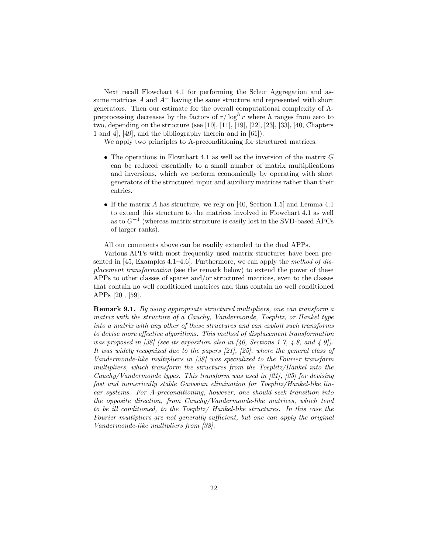Next recall Flowchart 4.1 for performing the Schur Aggregation and assume matrices <sup>A</sup> and <sup>A</sup>*<sup>−</sup>* having the same structure and represented with short generators. Then our estimate for the overall computational complexity of Apreprocessing decreases by the factors of  $r/\log^h r$  where h ranges from zero to two depending on the structure (see [10], [11], [10], [22], [23], [40], Chapters two, depending on the structure (see [10], [11], [19], [22], [23], [33], [40, Chapters 1 and 4], [49], and the bibliography therein and in [61]).

We apply two principles to A-preconditioning for structured matrices.

- The operations in Flowchart 4.1 as well as the inversion of the matrix  $G$ can be reduced essentially to a small number of matrix multiplications and inversions, which we perform economically by operating with short generators of the structured input and auxiliary matrices rather than their entries.
- If the matrix A has structure, we rely on [40, Section 1.5] and Lemma 4.1 to extend this structure to the matrices involved in Flowchart 4.1 as well as to <sup>G</sup>*<sup>−</sup>*<sup>1</sup> (whereas matrix structure is easily lost in the SVD-based APCs of larger ranks).

All our comments above can be readily extended to the dual APPs.

Various APPs with most frequently used matrix structures have been presented in [45, Examples 4.1–4.6]. Furthermore, we can apply the *method of displacement transformation* (see the remark below) to extend the power of these APPs to other classes of sparse and/or structured matrices, even to the classes that contain no well conditioned matrices and thus contain no well conditioned APPs [20], [59].

**Remark 9.1.** *By using appropriate structured multipliers, one can transform a matrix with the structure of a Cauchy, Vandermonde, Toeplitz, or Hankel type into a matrix with any other of these structures and can exploit such transforms to devise more effective algorithms. This method of displacement transformation was proposed in [38] (see its exposition also in [40, Sections 1.7, 4.8, and 4.9]). It was widely recognized due to the papers [21], [25], where the general class of Vandermonde-like multipliers in [38] was specialized to the Fourier transform multipliers, which transform the structures from the Toeplitz/Hankel into the Cauchy/Vandermonde types. This transform was used in [21], [25] for devising fast and numerically stable Gaussian elimination for Toeplitz/Hankel-like linear systems. For A-preconditioning, however, one should seek transition into the opposite direction, from Cauchy/Vandermonde-like matrices, which tend to be ill conditioned, to the Toeplitz/ Hankel-like structures. In this case the Fourier multipliers are not generally sufficient, but one can apply the original Vandermonde-like multipliers from [38].*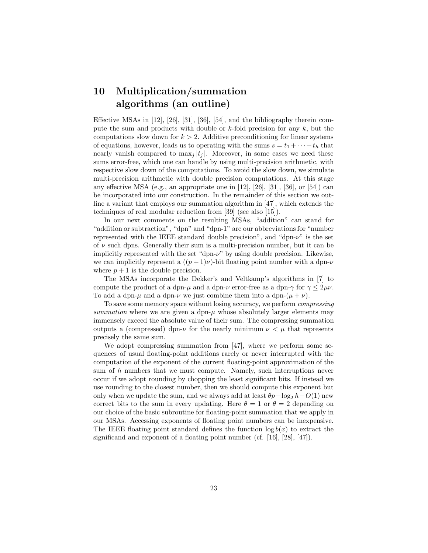# **10 Multiplication/summation algorithms (an outline)**

Effective MSAs in [12], [26], [31], [36], [54], and the bibliography therein compute the sum and products with double or  $k$ -fold precision for any  $k$ , but the computations slow down for  $k > 2$ . Additive preconditioning for linear systems of equations, however, leads us to operating with the sums  $s = t_1 + \cdots + t_h$  that nearly vanish compared to  $\max_i |t_i|$ . Moreover, in some cases we need these sums error-free, which one can handle by using multi-precision arithmetic, with respective slow down of the computations. To avoid the slow down, we simulate multi-precision arithmetic with double precision computations. At this stage any effective MSA (e.g., an appropriate one in [12], [26], [31], [36], or [54]) can be incorporated into our construction. In the remainder of this section we outline a variant that employs our summation algorithm in [47], which extends the techniques of real modular reduction from [39] (see also [15]).

In our next comments on the resulting MSAs, "addition" can stand for "addition or subtraction", "dpn" and "dpn-1" are our abbreviations for "number represented with the IEEE standard double precision", and "dpn- $\nu$ " is the set of  $\nu$  such dpns. Generally their sum is a multi-precision number, but it can be implicitly represented with the set "dpn- $\nu$ " by using double precision. Likewise, we can implicitly represent a  $((p+1)\nu)$ -bit floating point number with a dpn- $\nu$ where  $p + 1$  is the double precision.

The MSAs incorporate the Dekker's and Veltkamp's algorithms in [7] to compute the product of a dpn- $\mu$  and a dpn- $\nu$  error-free as a dpn- $\gamma$  for  $\gamma \leq 2\mu\nu$ . To add a dpn- $\mu$  and a dpn- $\nu$  we just combine them into a dpn- $(\mu + \nu)$ .

To save some memory space without losing accuracy, we perform *compressing summation* where we are given a dpn- $\mu$  whose absolutely larger elements may immensely exceed the absolute value of their sum. The compressing summation outputs a (compressed) dpn- $\nu$  for the nearly minimum  $\nu < \mu$  that represents precisely the same sum.

We adopt compressing summation from [47], where we perform some sequences of usual floating-point additions rarely or never interrupted with the computation of the exponent of the current floating-point approximation of the sum of  $h$  numbers that we must compute. Namely, such interruptions never occur if we adopt rounding by chopping the least significant bits. If instead we use rounding to the closest number, then we should compute this exponent but only when we update the sum, and we always add at least  $\theta p - \log_2 h - O(1)$  new correct bits to the sum in every updating. Here  $\theta = 1$  or  $\theta = 2$  depending on our choice of the basic subroutine for floating-point summation that we apply in our MSAs. Accessing exponents of floating point numbers can be inexpensive. The IEEE floating point standard defines the function  $\log b(x)$  to extract the significand and exponent of a floating point number (cf. [16], [28], [47]).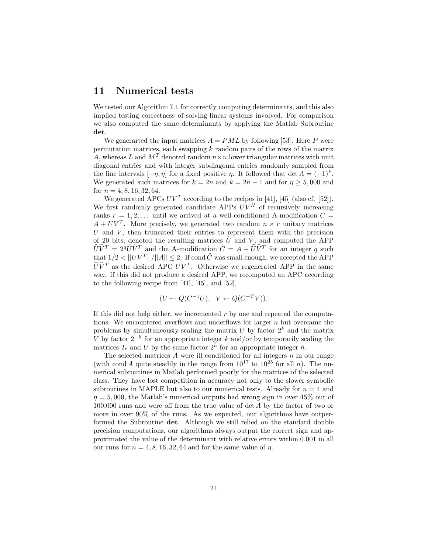### **11 Numerical tests**

We tested our Algorithm 7.1 for correctly computing determinants, and this also implied testing correctness of solving linear systems involved. For comparison we also computed the same determinants by applying the Matlab Subroutine **det**.

We generarted the input matrices  $A = PML$  by following [53]. Here P were permutation matrices, each swapping  $k$  random pairs of the rows of the matrix A, whereas L and  $M<sup>T</sup>$  denoted random  $n \times n$  lower triangular matrices with unit diagonal entries and with integer subdiagonal entries randomly sampled from the line intervals  $[-\eta, \eta]$  for a fixed positive  $\eta$ . It followed that det  $A = (-1)^k$ . We generated such matrices for  $k = 2n$  and  $k = 2n - 1$  and for  $n \ge 5,000$  and for  $n = 4, 8, 16, 32, 64$ .

We generated APCs  $UV^T$  according to the recipes in [41], [45] (also cf. [52]). We first randomly generated candidate APPs  $UV^H$  of recursively increasing ranks  $r = 1, 2, \ldots$  until we arrived at a well conditioned A-modification  $C =$  $A + UV^T$ . More precisely, we generated two random  $n \times r$  unitary matrices  $U$  and  $V$ , then truncated their entries to represent them with the precision of 20 bits, denoted the resulting matrices  $\tilde{U}$  and  $\tilde{V}$ , and computed the APP  $\widehat{U}\widehat{V}^T = 2^q \widetilde{U}\widetilde{V}^T$  and the A-modification  $\widetilde{C} = A + \widehat{U}\widehat{V}^T$  for an integer q such that  $1/2 < ||UV^T||/||A|| \leq 2$ . If cond  $\tilde{C}$  was small enough, we accepted the APP  $\widehat{U}\widehat{V}^T$  as the desired APC  $UV^T$ . Otherwise we regenerated APP in the same way. If this did not produce a desired APP, we recomputed an APC according to the following recipe from [41], [45], and [52],

$$
(U \leftarrow Q(C^{-1}U), \quad V \leftarrow Q(C^{-T}V)).
$$

If this did not help either, we incremented  $r$  by one and repeated the computations. We encountered overflows and underflows for larger  $n$  but overcame the problems by simultaneously scaling the matrix  $U$  by factor  $2^k$  and the matrix V by factor  $2^{-k}$  for an appropriate integer k and/or by temporarily scaling the matrices  $I_r$  and U by the same factor  $2^h$  for an appropriate integer h.

The selected matrices  $A$  were ill conditioned for all integers  $n$  in our range (with cond A quite steadily in the range from  $10^{17}$  to  $10^{25}$  for all n). The numerical subroutines in Matlab performed poorly for the matrices of the selected class. They have lost competition in accuracy not only to the slower symbolic subroutines in MAPLE but also to our numerical tests. Already for  $n = 4$  and  $\eta = 5,000$ , the Matlab's numerical outputs had wrong sign in over 45% out of 100,000 runs and were off from the true value of det A by the factor of two or more in over 90% of the runs. As we expected, our algorithms have outperformed the Subroutine **det**. Although we still relied on the standard double precision computations, our algorithms always output the correct sign and approximated the value of the determinant with relative errors within 0.001 in all our runs for  $n = 4, 8, 16, 32, 64$  and for the same value of  $\eta$ .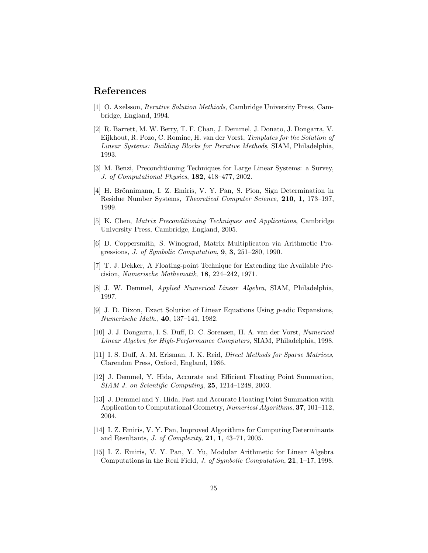### **References**

- [1] O. Axelsson, *Iterative Solution Methiods*, Cambridge University Press, Cambridge, England, 1994.
- [2] R. Barrett, M. W. Berry, T. F. Chan, J. Demmel, J. Donato, J. Dongarra, V. Eijkhout, R. Pozo, C. Romine, H. van der Vorst, *Templates for the Solution of Linear Systems: Building Blocks for Iterative Methods*, SIAM, Philadelphia, 1993.
- [3] M. Benzi, Preconditioning Techniques for Large Linear Systems: a Survey, *J. of Computational Physics*, **182**, 418–477, 2002.
- [4] H. Brönnimann, I. Z. Emiris, V. Y. Pan, S. Pion, Sign Determination in Residue Number Systems, *Theoretical Computer Science*, **210**, **1**, 173–197, 1999.
- [5] K. Chen, *Matrix Preconditioning Techniques and Applications*, Cambridge University Press, Cambridge, England, 2005.
- [6] D. Coppersmith, S. Winograd, Matrix Multiplicaton via Arithmetic Progressions, *J. of Symbolic Computation*, **9**, **3**, 251–280, 1990.
- [7] T. J. Dekker, A Floating-point Technique for Extending the Available Precision, *Numerische Mathematik*, **18**, 224–242, 1971.
- [8] J. W. Demmel, *Applied Numerical Linear Algebra*, SIAM, Philadelphia, 1997.
- [9] J. D. Dixon, Exact Solution of Linear Equations Using p-adic Expansions, *Numerische Math.*, **40**, 137–141, 1982.
- [10] J. J. Dongarra, I. S. Duff, D. C. Sorensen, H. A. van der Vorst, *Numerical Linear Algebra for High-Performance Computers*, SIAM, Philadelphia, 1998.
- [11] I. S. Duff, A. M. Erisman, J. K. Reid, *Direct Methods for Sparse Matrices*, Clarendon Press, Oxford, England, 1986.
- [12] J. Demmel, Y. Hida, Accurate and Efficient Floating Point Summation, *SIAM J. on Scientific Computing*, **25**, 1214–1248, 2003.
- [13] J. Demmel and Y. Hida, Fast and Accurate Floating Point Summation with Application to Computational Geometry, *Numerical Algorithms*, **37**, 101–112, 2004.
- [14] I. Z. Emiris, V. Y. Pan, Improved Algorithms for Computing Determinants and Resultants, *J. of Complexity*, **21**, **1**, 43–71, 2005.
- [15] I. Z. Emiris, V. Y. Pan, Y. Yu, Modular Arithmetic for Linear Algebra Computations in the Real Field, *J. of Symbolic Computation*, **21**, 1–17, 1998.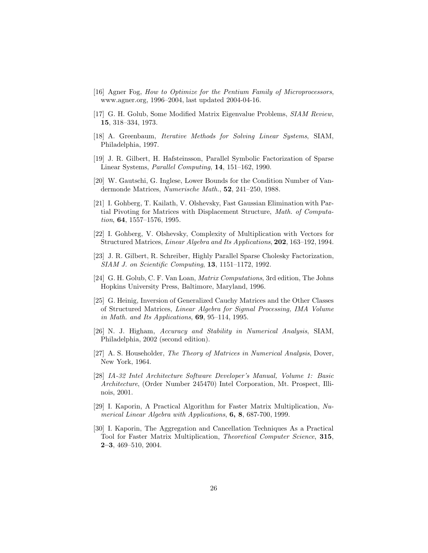- [16] Agner Fog, *How to Optimize for the Pentium Family of Microprocessors*, www.agner.org, 1996–2004, last updated 2004-04-16.
- [17] G. H. Golub, Some Modified Matrix Eigenvalue Problems, *SIAM Review*, **15**, 318–334, 1973.
- [18] A. Greenbaum, *Iterative Methods for Solving Linear Systems*, SIAM, Philadelphia, 1997.
- [19] J. R. Gilbert, H. Hafsteinsson, Parallel Symbolic Factorization of Sparse Linear Systems, *Parallel Computing*, **14**, 151–162, 1990.
- [20] W. Gautschi, G. Inglese, Lower Bounds for the Condition Number of Vandermonde Matrices, *Numerische Math.*, **52**, 241–250, 1988.
- [21] I. Gohberg, T. Kailath, V. Olshevsky, Fast Gaussian Elimination with Partial Pivoting for Matrices with Displacement Structure, *Math. of Computation*, **64**, 1557–1576, 1995.
- [22] I. Gohberg, V. Olshevsky, Complexity of Multiplication with Vectors for Structured Matrices, *Linear Algebra and Its Applications*, **202**, 163–192, 1994.
- [23] J. R. Gilbert, R. Schreiber, Highly Parallel Sparse Cholesky Factorization, *SIAM J. on Scientific Computing*, **13**, 1151–1172, 1992.
- [24] G. H. Golub, C. F. Van Loan, *Matrix Computations*, 3rd edition, The Johns Hopkins University Press, Baltimore, Maryland, 1996.
- [25] G. Heinig, Inversion of Generalized Cauchy Matrices and the Other Classes of Structured Matrices, *Linear Algebra for Sigmal Processing, IMA Volume in Math. and Its Applications*, **69**, 95–114, 1995.
- [26] N. J. Higham, *Accuracy and Stability in Numerical Analysis*, SIAM, Philadelphia, 2002 (second edition).
- [27] A. S. Householder, *The Theory of Matrices in Numerical Analysis*, Dover, New York, 1964.
- [28] *IA-32 Intel Architecture Software Developer's Manual, Volume 1: Basic Architecture*, (Order Number 245470) Intel Corporation, Mt. Prospect, Illinois, 2001.
- [29] I. Kaporin, A Practical Algorithm for Faster Matrix Multiplication, *Numerical Linear Algebra with Applications*, **6, 8**, 687-700, 1999.
- [30] I. Kaporin, The Aggregation and Cancellation Techniques As a Practical Tool for Faster Matrix Multiplication, *Theoretical Computer Science*, **315**, **2–3**, 469–510, 2004.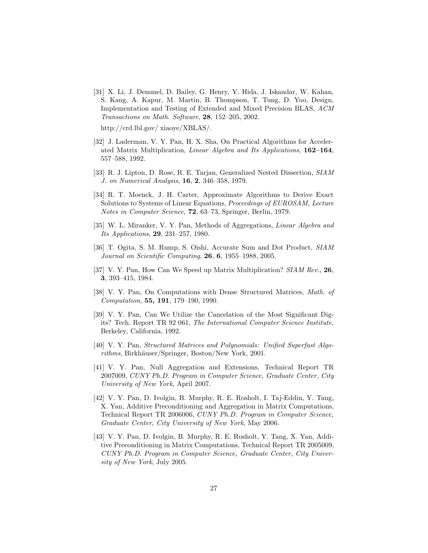[31] X. Li, J. Demmel, D. Bailey, G. Henry, Y. Hida, J. Iskandar, W. Kahan, S. Kang, A. Kapur, M. Martin, B. Thompson, T. Tung, D. Yoo, Design, Implementation and Testing of Extended and Mixed Precision BLAS, *ACM Transactions on Math. Software*, **28**, 152–205, 2002.

http://crd.lbl.gov/ xiaoye/XBLAS/.

- [32] J. Laderman, V. Y. Pan, H. X. Sha, On Practical Algorithms for Accelerated Matrix Multiplication, *Linear Algebra and Its Applications*, **162–164**, 557–588, 1992.
- [33] R. J. Lipton, D. Rose, R. E. Tarjan, Generalized Nested Dissection, *SIAM J. on Numerical Analysis*, **16**, **2**, 346–358, 1979.
- [34] R. T. Moenck, J. H. Carter, Approximate Algorithms to Derive Exact Solutions to Systems of Linear Equations, *Proceedings of EUROSAM, Lecture Notes in Computer Science*, **72**, 63–73, Springer, Berlin, 1979.
- [35] W. L. Miranker, V. Y. Pan, Methods of Aggregations, *Linear Algebra and Its Applications*, **29**, 231–257, 1980.
- [36] T. Ogita, S. M. Rump, S. Oishi, Accurate Sum and Dot Product, *SIAM Journal on Scientific Computing*, **26**, **6**, 1955–1988, 2005.
- [37] V. Y. Pan, How Can We Speed up Matrix Multiplication? *SIAM Rev.,* **26**, **3**, 393–415, 1984.
- [38] V. Y. Pan, On Computations with Dense Structured Matrices, *Math. of Computation*, **55, 191**, 179–190, 1990.
- [39] V. Y. Pan, Can We Utilize the Cancelation of the Most Significant Digits? Tech. Report TR 92 061, *The International Computer Science Institute*, Berkeley, California, 1992.
- [40] V. Y. Pan, *Structured Matrices and Polynomials: Unified Superfast Algorithms*, Birkhäuser/Springer, Boston/New York, 2001.
- [41] V. Y. Pan, Null Aggregation and Extensions, Technical Report TR 2007009, *CUNY Ph.D. Program in Computer Science, Graduate Center, City University of New York*, April 2007.
- [42] V. Y. Pan, D. Ivolgin, B. Murphy, R. E. Rosholt, I. Taj-Eddin, Y. Tang, X. Yan, Additive Preconditioning and Aggregation in Matrix Computations, Technical Report TR 2006006, *CUNY Ph.D. Program in Computer Science, Graduate Center, City University of New York*, May 2006.
- [43] V. Y. Pan, D. Ivolgin, B. Murphy, R. E. Rosholt, Y. Tang, X. Yan, Additive Preconditioning in Matrix Computations, Technical Report TR 2005009, *CUNY Ph.D. Program in Computer Science, Graduate Center, City University of New York*, July 2005.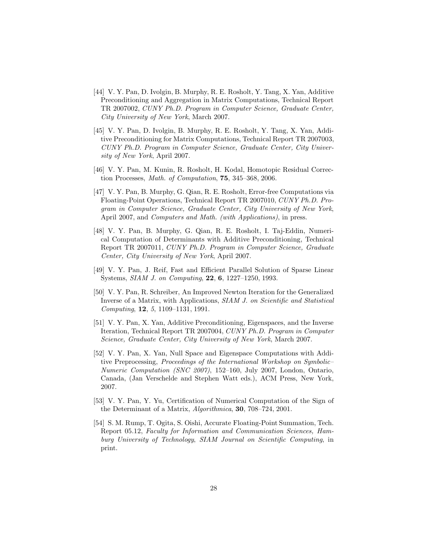- [44] V. Y. Pan, D. Ivolgin, B. Murphy, R. E. Rosholt, Y. Tang, X. Yan, Additive Preconditioning and Aggregation in Matrix Computations, Technical Report TR 2007002, *CUNY Ph.D. Program in Computer Science, Graduate Center, City University of New York*, March 2007.
- [45] V. Y. Pan, D. Ivolgin, B. Murphy, R. E. Rosholt, Y. Tang, X. Yan, Additive Preconditioning for Matrix Computations, Technical Report TR 2007003, *CUNY Ph.D. Program in Computer Science, Graduate Center, City University of New York*, April 2007.
- [46] V. Y. Pan, M. Kunin, R. Rosholt, H. Kodal, Homotopic Residual Correction Processes, *Math. of Computation*, **75**, 345–368, 2006.
- [47] V. Y. Pan, B. Murphy, G. Qian, R. E. Rosholt, Error-free Computations via Floating-Point Operations, Technical Report TR 2007010, *CUNY Ph.D. Program in Computer Science, Graduate Center, City University of New York*, April 2007, and *Computers and Math. (with Applications)*, in press.
- [48] V. Y. Pan, B. Murphy, G. Qian, R. E. Rosholt, I. Taj-Eddin, Numerical Computation of Determinants with Additive Preconditioning, Technical Report TR 2007011, *CUNY Ph.D. Program in Computer Science, Graduate Center, City University of New York*, April 2007.
- [49] V. Y. Pan, J. Reif, Fast and Efficient Parallel Solution of Sparse Linear Systems, *SIAM J. on Computing*, **22**, **6**, 1227–1250, 1993.
- [50] V. Y. Pan, R. Schreiber, An Improved Newton Iteration for the Generalized Inverse of a Matrix, with Applications, *SIAM J. on Scientific and Statistical Computing*, **12**, *5*, 1109–1131, 1991.
- [51] V. Y. Pan, X. Yan, Additive Preconditioning, Eigenspaces, and the Inverse Iteration, Technical Report TR 2007004, *CUNY Ph.D. Program in Computer Science, Graduate Center, City University of New York*, March 2007.
- [52] V. Y. Pan, X. Yan, Null Space and Eigenspace Computations with Additive Preprocessing, *Proceedings of the International Workshop on Symbolic– Numeric Computation (SNC 2007)*, 152–160, July 2007, London, Ontario, Canada, (Jan Verschelde and Stephen Watt eds.), ACM Press, New York, 2007.
- [53] V. Y. Pan, Y. Yu, Certification of Numerical Computation of the Sign of the Determinant of a Matrix, *Algorithmica*, **30**, 708–724, 2001.
- [54] S. M. Rump, T. Ogita, S. Oishi, Accurate Floating-Point Summation, Tech. Report 05.12, *Faculty for Information and Communication Sciences, Hamburg University of Technology*, *SIAM Journal on Scientific Computing*, in print.